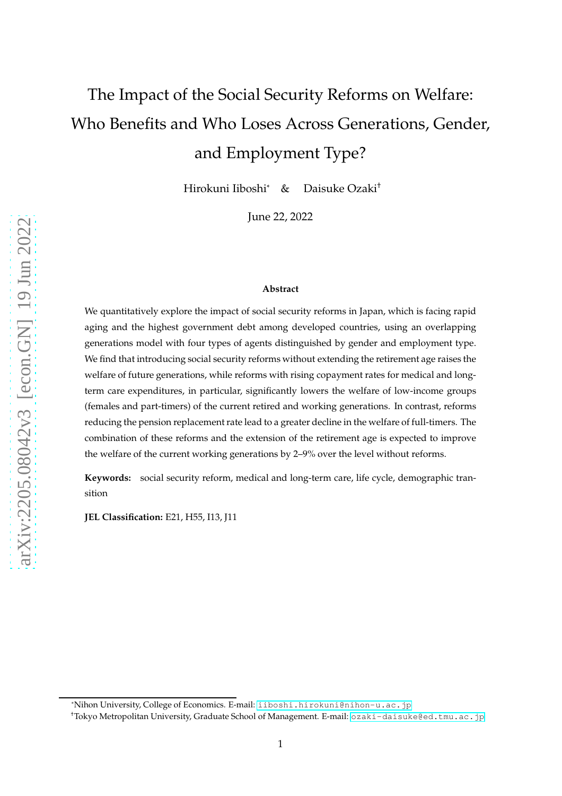# The Impact of the Social Security Reforms on Welfare: Who Benefits and Who Loses Across Generations, Gender, and Employment Type?

Hirokuni Iiboshi\* & Daisuke Ozaki†

June 22, 2022

#### **Abstract**

We quantitatively explore the impact of social security reforms in Japan, which is facing rapid aging and the highest government debt among developed countries, using an overlapping generations model with four types of agents distinguished by gender and employment type. We find that introducing social security reforms without extending the retirement age raises the welfare of future generations, while reforms with rising copayment rates for medical and longterm care expenditures, in particular, significantly lowers the welfare of low-income groups (females and part-timers) of the current retired and working generations. In contrast, reforms reducing the pension replacement rate lead to a greater decline in the welfare of full-timers. The combination of these reforms and the extension of the retirement age is expected to improve the welfare of the current working generations by 2–9% over the level without reforms.

**Keywords:** social security reform, medical and long-term care, life cycle, demographic transition

**JEL Classification:** E21, H55, I13, J11

<sup>\*</sup>Nihon University, College of Economics. E-mail: <iiboshi.hirokuni@nihon-u.ac.jp>

<sup>†</sup>Tokyo Metropolitan University, Graduate School of Management. E-mail: <ozaki-daisuke@ed.tmu.ac.jp>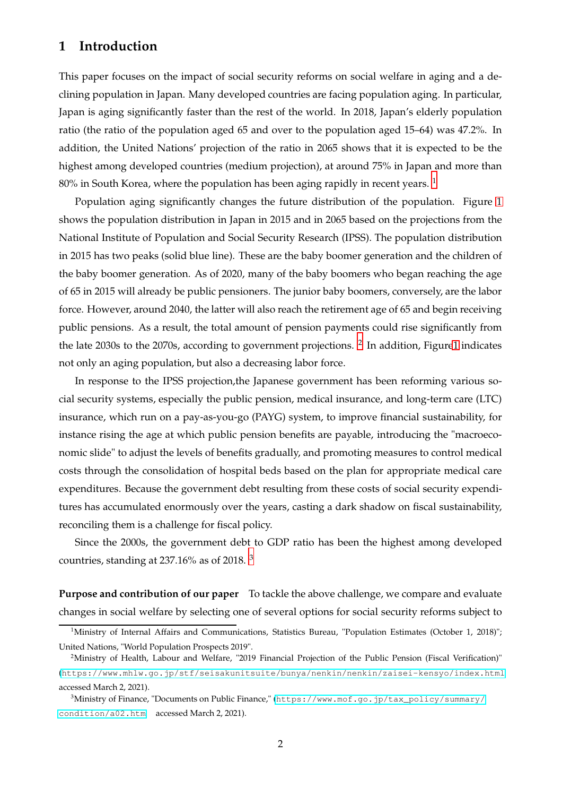# <span id="page-1-3"></span>**1 Introduction**

This paper focuses on the impact of social security reforms on social welfare in aging and a declining population in Japan. Many developed countries are facing population aging. In particular, Japan is aging significantly faster than the rest of the world. In 2018, Japan's elderly population ratio (the ratio of the population aged 65 and over to the population aged 15–64) was 47.2%. In addition, the United Nations' projection of the ratio in 2065 shows that it is expected to be the highest among developed countries (medium projection), at around 75% in Japan and more than 80% in South Korea, where the population has been aging rapidly in recent years.  $1$ 

Population aging significantly changes the future distribution of the population. Figure [1](#page-2-0) shows the population distribution in Japan in 2015 and in 2065 based on the projections from the National Institute of Population and Social Security Research (IPSS). The population distribution in 2015 has two peaks (solid blue line). These are the baby boomer generation and the children of the baby boomer generation. As of 2020, many of the baby boomers who began reaching the age of 65 in 2015 will already be public pensioners. The junior baby boomers, conversely, are the labor force. However, around 2040, the latter will also reach the retirement age of 65 and begin receiving public pensions. As a result, the total amount of pension payments could rise significantly from the late [2](#page-1-1)030s to the 2070s, according to government projections.  $^2$  In addition, Figur[e1](#page-2-0) indicates not only an aging population, but also a decreasing labor force.

In response to the IPSS projection,the Japanese government has been reforming various social security systems, especially the public pension, medical insurance, and long-term care (LTC) insurance, which run on a pay-as-you-go (PAYG) system, to improve financial sustainability, for instance rising the age at which public pension benefits are payable, introducing the "macroeconomic slide" to adjust the levels of benefits gradually, and promoting measures to control medical costs through the consolidation of hospital beds based on the plan for appropriate medical care expenditures. Because the government debt resulting from these costs of social security expenditures has accumulated enormously over the years, casting a dark shadow on fiscal sustainability, reconciling them is a challenge for fiscal policy.

Since the 2000s, the government debt to GDP ratio has been the highest among developed countries, standing at 237.16% as of 2018. [3](#page-1-2)

**Purpose and contribution of our paper** To tackle the above challenge, we compare and evaluate changes in social welfare by selecting one of several options for social security reforms subject to

<span id="page-1-0"></span><sup>&</sup>lt;sup>1</sup>Ministry of Internal Affairs and Communications, Statistics Bureau, "Population Estimates (October 1, 2018)"; United Nations, "World Population Prospects 2019".

<span id="page-1-1"></span><sup>&</sup>lt;sup>2</sup>Ministry of Health, Labour and Welfare, "2019 Financial Projection of the Public Pension (Fiscal Verification)" (<https://www.mhlw.go.jp/stf/seisakunitsuite/bunya/nenkin/nenkin/zaisei-kensyo/index.html> accessed March 2, 2021).

<span id="page-1-2"></span><sup>3</sup>Ministry of Finance, "Documents on Public Finance," ([https://www.mof.go.jp/tax\\_policy/summary/](https://www.mof.go.jp/tax_policy/summary/) <condition/a02.htm> accessed March 2, 2021).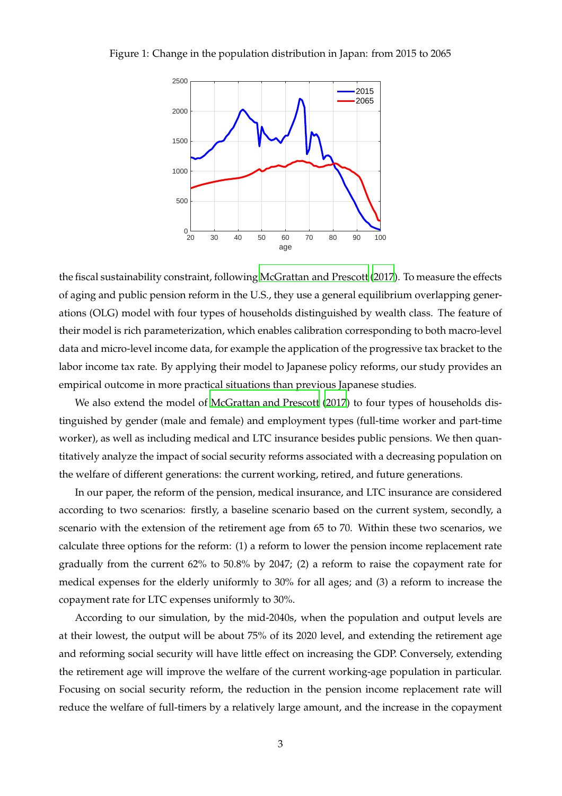Figure 1: Change in the population distribution in Japan: from 2015 to 2065

<span id="page-2-0"></span>

the fiscal sustainability constraint, following [McGrattan and Prescott](#page-29-0) [\(2017](#page-29-0)). To measure the effects of aging and public pension reform in the U.S., they use a general equilibrium overlapping generations (OLG) model with four types of households distinguished by wealth class. The feature of their model is rich parameterization, which enables calibration corresponding to both macro-level data and micro-level income data, for example the application of the progressive tax bracket to the labor income tax rate. By applying their model to Japanese policy reforms, our study provides an empirical outcome in more practical situations than previous Japanese studies.

We also extend the model of [McGrattan and Prescott \(2017\)](#page-29-0) to four types of households distinguished by gender (male and female) and employment types (full-time worker and part-time worker), as well as including medical and LTC insurance besides public pensions. We then quantitatively analyze the impact of social security reforms associated with a decreasing population on the welfare of different generations: the current working, retired, and future generations.

In our paper, the reform of the pension, medical insurance, and LTC insurance are considered according to two scenarios: firstly, a baseline scenario based on the current system, secondly, a scenario with the extension of the retirement age from 65 to 70. Within these two scenarios, we calculate three options for the reform: (1) a reform to lower the pension income replacement rate gradually from the current 62% to 50.8% by 2047; (2) a reform to raise the copayment rate for medical expenses for the elderly uniformly to 30% for all ages; and (3) a reform to increase the copayment rate for LTC expenses uniformly to 30%.

According to our simulation, by the mid-2040s, when the population and output levels are at their lowest, the output will be about 75% of its 2020 level, and extending the retirement age and reforming social security will have little effect on increasing the GDP. Conversely, extending the retirement age will improve the welfare of the current working-age population in particular. Focusing on social security reform, the reduction in the pension income replacement rate will reduce the welfare of full-timers by a relatively large amount, and the increase in the copayment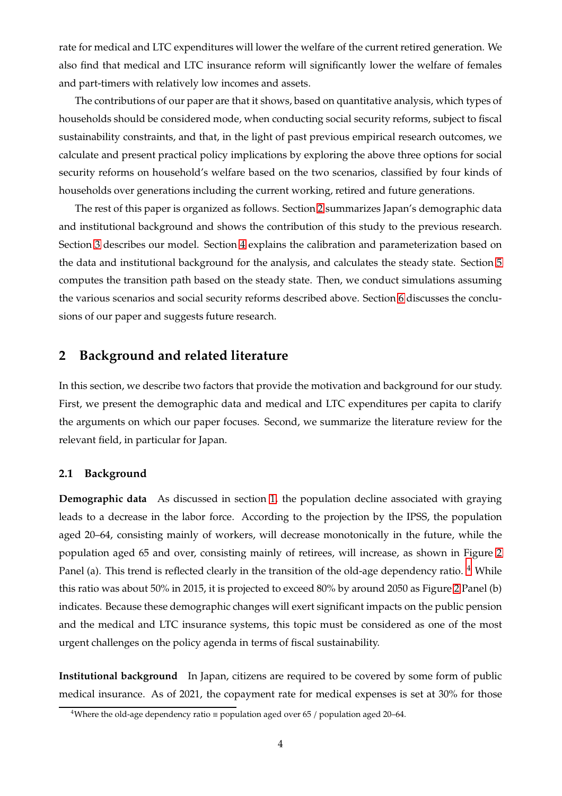rate for medical and LTC expenditures will lower the welfare of the current retired generation. We also find that medical and LTC insurance reform will significantly lower the welfare of females and part-timers with relatively low incomes and assets.

The contributions of our paper are that it shows, based on quantitative analysis, which types of households should be considered mode, when conducting social security reforms, subject to fiscal sustainability constraints, and that, in the light of past previous empirical research outcomes, we calculate and present practical policy implications by exploring the above three options for social security reforms on household's welfare based on the two scenarios, classified by four kinds of households over generations including the current working, retired and future generations.

The rest of this paper is organized as follows. Section [2](#page-3-0) summarizes Japan's demographic data and institutional background and shows the contribution of this study to the previous research. Section [3](#page-7-0) describes our model. Section [4](#page-13-0) explains the calibration and parameterization based on the data and institutional background for the analysis, and calculates the steady state. Section [5](#page-21-0) computes the transition path based on the steady state. Then, we conduct simulations assuming the various scenarios and social security reforms described above. Section [6](#page-28-0) discusses the conclusions of our paper and suggests future research.

# <span id="page-3-0"></span>**2 Background and related literature**

In this section, we describe two factors that provide the motivation and background for our study. First, we present the demographic data and medical and LTC expenditures per capita to clarify the arguments on which our paper focuses. Second, we summarize the literature review for the relevant field, in particular for Japan.

# **2.1 Background**

**Demographic data** As discussed in section [1,](#page-1-3) the population decline associated with graying leads to a decrease in the labor force. According to the projection by the IPSS, the population aged 20–64, consisting mainly of workers, will decrease monotonically in the future, while the population aged 65 and over, consisting mainly of retirees, will increase, as shown in Figure [2](#page-4-0) Panel (a). This trend is reflected clearly in the transition of the old-age dependency ratio.  $4$  While this ratio was about 50% in 2015, it is projected to exceed 80% by around 2050 as Figure [2](#page-4-0) Panel (b) indicates. Because these demographic changes will exert significant impacts on the public pension and the medical and LTC insurance systems, this topic must be considered as one of the most urgent challenges on the policy agenda in terms of fiscal sustainability.

**Institutional background** In Japan, citizens are required to be covered by some form of public medical insurance. As of 2021, the copayment rate for medical expenses is set at 30% for those

<span id="page-3-1"></span><sup>&</sup>lt;sup>4</sup>Where the old-age dependency ratio = population aged over 65 / population aged 20–64.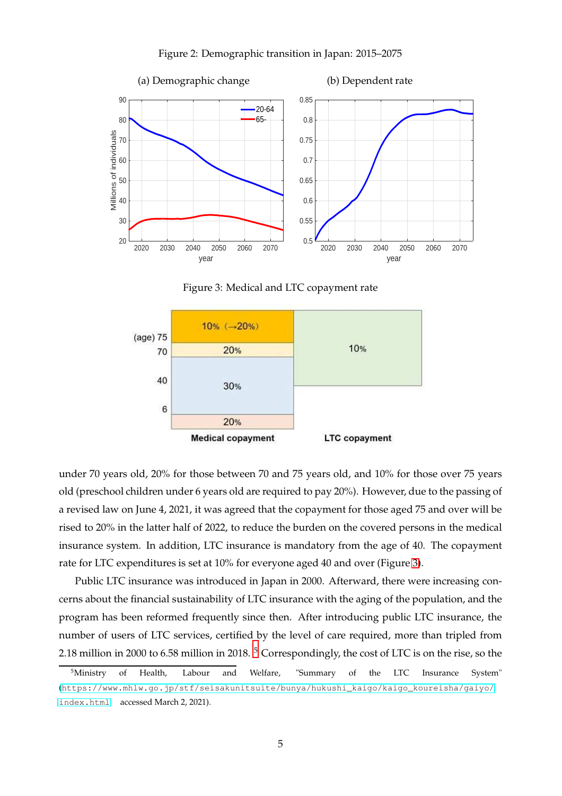

#### <span id="page-4-0"></span>Figure 2: Demographic transition in Japan: 2015–2075

<span id="page-4-1"></span>Figure 3: Medical and LTC copayment rate



under 70 years old, 20% for those between 70 and 75 years old, and 10% for those over 75 years old (preschool children under 6 years old are required to pay 20%). However, due to the passing of a revised law on June 4, 2021, it was agreed that the copayment for those aged 75 and over will be rised to 20% in the latter half of 2022, to reduce the burden on the covered persons in the medical insurance system. In addition, LTC insurance is mandatory from the age of 40. The copayment rate for LTC expenditures is set at 10% for everyone aged 40 and over (Figure [3\)](#page-4-1).

Public LTC insurance was introduced in Japan in 2000. Afterward, there were increasing concerns about the financial sustainability of LTC insurance with the aging of the population, and the program has been reformed frequently since then. After introducing public LTC insurance, the number of users of LTC services, certified by the level of care required, more than tripled from 2.18 million in 2000 to 6.58 million in 2018. [5](#page-4-2) Correspondingly, the cost of LTC is on the rise, so the

<span id="page-4-2"></span><sup>&</sup>lt;sup>5</sup>Ministry of Health, Labour and Welfare, "Summary of the LTC Insurance System" ([https://www.mhlw.go.jp/stf/seisakunitsuite/bunya/hukushi\\_kaigo/kaigo\\_koureisha/gaiyo/](https://www.mhlw.go.jp/stf/seisakunitsuite/bunya/hukushi_kaigo/kaigo_koureisha/gaiyo/) <index.html> accessed March 2, 2021).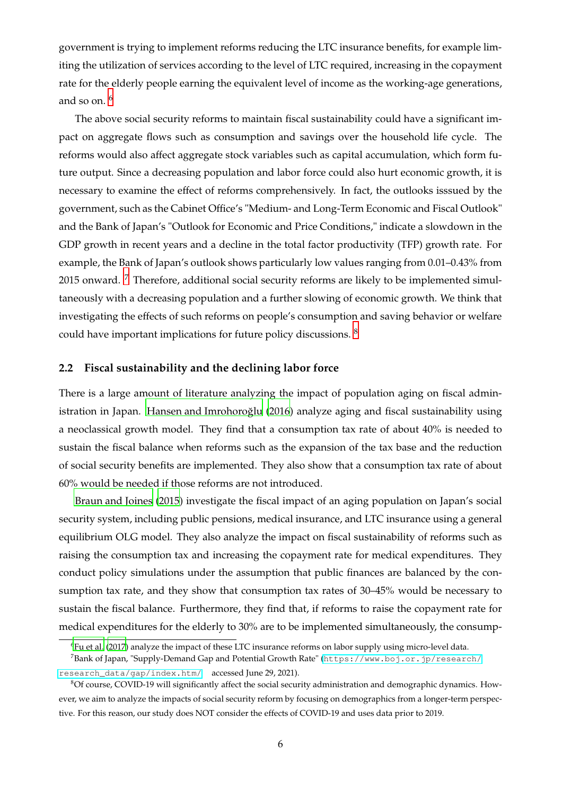government is trying to implement reforms reducing the LTC insurance benefits, for example limiting the utilization of services according to the level of LTC required, increasing in the copayment rate for the elderly people earning the equivalent level of income as the working-age generations, and so on.  $6$ 

The above social security reforms to maintain fiscal sustainability could have a significant impact on aggregate flows such as consumption and savings over the household life cycle. The reforms would also affect aggregate stock variables such as capital accumulation, which form future output. Since a decreasing population and labor force could also hurt economic growth, it is necessary to examine the effect of reforms comprehensively. In fact, the outlooks isssued by the government, such as the Cabinet Office's "Medium- and Long-Term Economic and Fiscal Outlook" and the Bank of Japan's "Outlook for Economic and Price Conditions," indicate a slowdown in the GDP growth in recent years and a decline in the total factor productivity (TFP) growth rate. For example, the Bank of Japan's outlook shows particularly low values ranging from 0.01–0.43% from 2015 onward. <sup>[7](#page-5-1)</sup> Therefore, additional social security reforms are likely to be implemented simultaneously with a decreasing population and a further slowing of economic growth. We think that investigating the effects of such reforms on people's consumption and saving behavior or welfare could have important implications for future policy discussions. [8](#page-5-2)

# **2.2 Fiscal sustainability and the declining labor force**

There is a large amount of literature analyzing the impact of population aging on fiscal administration in Japan. Hansen and Imrohoroğlu  $(2016)$  analyze aging and fiscal sustainability using a neoclassical growth model. They find that a consumption tax rate of about 40% is needed to sustain the fiscal balance when reforms such as the expansion of the tax base and the reduction of social security benefits are implemented. They also show that a consumption tax rate of about 60% would be needed if those reforms are not introduced.

[Braun and Joines \(2015](#page-29-2)) investigate the fiscal impact of an aging population on Japan's social security system, including public pensions, medical insurance, and LTC insurance using a general equilibrium OLG model. They also analyze the impact on fiscal sustainability of reforms such as raising the consumption tax and increasing the copayment rate for medical expenditures. They conduct policy simulations under the assumption that public finances are balanced by the consumption tax rate, and they show that consumption tax rates of 30–45% would be necessary to sustain the fiscal balance. Furthermore, they find that, if reforms to raise the copayment rate for medical expenditures for the elderly to 30% are to be implemented simultaneously, the consump-

<span id="page-5-0"></span><sup>6</sup>[Fu et al. \(2017](#page-29-3)) analyze the impact of these LTC insurance reforms on labor supply using micro-level data. <sup>7</sup>Bank of Japan, "Supply-Demand Gap and Potential Growth Rate" (<https://www.boj.or.jp/research/>

<span id="page-5-1"></span>[research\\_data/gap/index.htm/](research_data/gap/index.htm/) accessed June 29, 2021).

<span id="page-5-2"></span><sup>8</sup>Of course, COVID-19 will significantly affect the social security administration and demographic dynamics. However, we aim to analyze the impacts of social security reform by focusing on demographics from a longer-term perspective. For this reason, our study does NOT consider the effects of COVID-19 and uses data prior to 2019.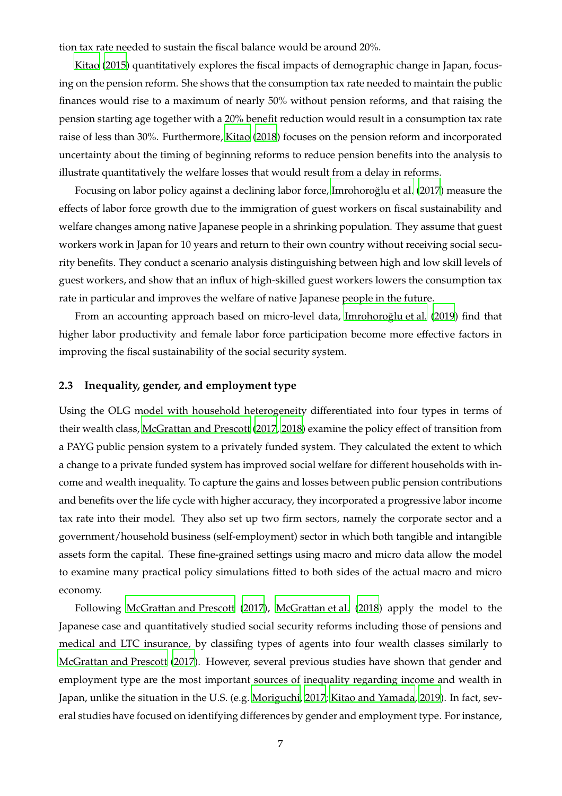tion tax rate needed to sustain the fiscal balance would be around 20%.

[Kitao](#page-29-4) [\(2015](#page-29-4)) quantitatively explores the fiscal impacts of demographic change in Japan, focusing on the pension reform. She shows that the consumption tax rate needed to maintain the public finances would rise to a maximum of nearly 50% without pension reforms, and that raising the pension starting age together with a 20% benefit reduction would result in a consumption tax rate raise of less than 30%. Furthermore, [Kitao \(2018](#page-29-5)) focuses on the pension reform and incorporated uncertainty about the timing of beginning reforms to reduce pension benefits into the analysis to illustrate quantitatively the welfare losses that would result from a delay in reforms.

Focusing on labor policy against a declining labor force, Imrohoroğlu et al. (2017) measure the effects of labor force growth due to the immigration of guest workers on fiscal sustainability and welfare changes among native Japanese people in a shrinking population. They assume that guest workers work in Japan for 10 years and return to their own country without receiving social security benefits. They conduct a scenario analysis distinguishing between high and low skill levels of guest workers, and show that an influx of high-skilled guest workers lowers the consumption tax rate in particular and improves the welfare of native Japanese people in the future.

From an accounting approach based on micro-level data, Imrohoroğlu et al. [\(2019](#page-29-7)) find that higher labor productivity and female labor force participation become more effective factors in improving the fiscal sustainability of the social security system.

# **2.3 Inequality, gender, and employment type**

Using the OLG model with household heterogeneity differentiated into four types in terms of their wealth class, [McGrattan and Prescott \(2017](#page-29-0), [2018\)](#page-29-8) examine the policy effect of transition from a PAYG public pension system to a privately funded system. They calculated the extent to which a change to a private funded system has improved social welfare for different households with income and wealth inequality. To capture the gains and losses between public pension contributions and benefits over the life cycle with higher accuracy, they incorporated a progressive labor income tax rate into their model. They also set up two firm sectors, namely the corporate sector and a government/household business (self-employment) sector in which both tangible and intangible assets form the capital. These fine-grained settings using macro and micro data allow the model to examine many practical policy simulations fitted to both sides of the actual macro and micro economy.

Following [McGrattan and Prescott](#page-29-0) [\(2017](#page-29-0)), [McGrattan et al. \(2018](#page-29-9)) apply the model to the Japanese case and quantitatively studied social security reforms including those of pensions and medical and LTC insurance, by classifing types of agents into four wealth classes similarly to [McGrattan and Prescott \(2017\)](#page-29-0). However, several previous studies have shown that gender and employment type are the most important sources of inequality regarding income and wealth in Japan, unlike the situation in the U.S. (e.g. [Moriguchi, 2017;](#page-29-10) [Kitao and Yamada](#page-29-11), [2019](#page-29-11)). In fact, several studies have focused on identifying differences by gender and employment type. For instance,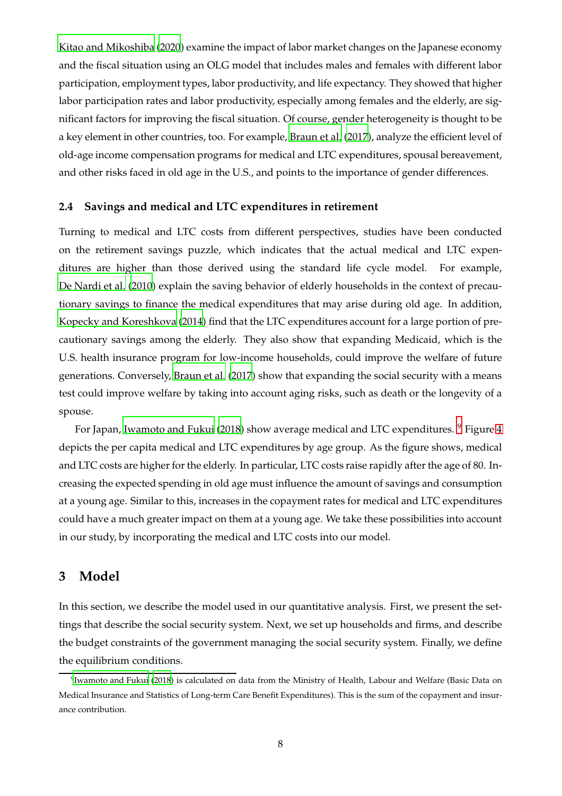[Kitao and Mikoshiba \(2020](#page-29-12)) examine the impact of labor market changes on the Japanese economy and the fiscal situation using an OLG model that includes males and females with different labor participation, employment types, labor productivity, and life expectancy. They showed that higher labor participation rates and labor productivity, especially among females and the elderly, are significant factors for improving the fiscal situation. Of course, gender heterogeneity is thought to be a key element in other countries, too. For example, [Braun et al.](#page-29-13) [\(2017](#page-29-13)), analyze the efficient level of old-age income compensation programs for medical and LTC expenditures, spousal bereavement, and other risks faced in old age in the U.S., and points to the importance of gender differences.

# **2.4 Savings and medical and LTC expenditures in retirement**

Turning to medical and LTC costs from different perspectives, studies have been conducted on the retirement savings puzzle, which indicates that the actual medical and LTC expenditures are higher than those derived using the standard life cycle model. For example, [De Nardi et al. \(2010](#page-29-14)) explain the saving behavior of elderly households in the context of precautionary savings to finance the medical expenditures that may arise during old age. In addition, [Kopecky and Koreshkova](#page-29-15) [\(2014](#page-29-15)) find that the LTC expenditures account for a large portion of precautionary savings among the elderly. They also show that expanding Medicaid, which is the U.S. health insurance program for low-income households, could improve the welfare of future generations. Conversely, [Braun et al. \(2017](#page-29-13)) show that expanding the social security with a means test could improve welfare by taking into account aging risks, such as death or the longevity of a spouse.

For Japan, [Iwamoto and Fukui \(2018\)](#page-29-16) show average medical and LTC expenditures. <sup>[9](#page-7-1)</sup> Figure [4](#page-8-0) depicts the per capita medical and LTC expenditures by age group. As the figure shows, medical and LTC costs are higher for the elderly. In particular, LTC costs raise rapidly after the age of 80. Increasing the expected spending in old age must influence the amount of savings and consumption at a young age. Similar to this, increases in the copayment rates for medical and LTC expenditures could have a much greater impact on them at a young age. We take these possibilities into account in our study, by incorporating the medical and LTC costs into our model.

# <span id="page-7-0"></span>**3 Model**

In this section, we describe the model used in our quantitative analysis. First, we present the settings that describe the social security system. Next, we set up households and firms, and describe the budget constraints of the government managing the social security system. Finally, we define the equilibrium conditions.

<span id="page-7-1"></span><sup>&</sup>lt;sup>9</sup>[Iwamoto and Fukui \(2018\)](#page-29-16) is calculated on data from the Ministry of Health, Labour and Welfare (Basic Data on Medical Insurance and Statistics of Long-term Care Benefit Expenditures). This is the sum of the copayment and insurance contribution.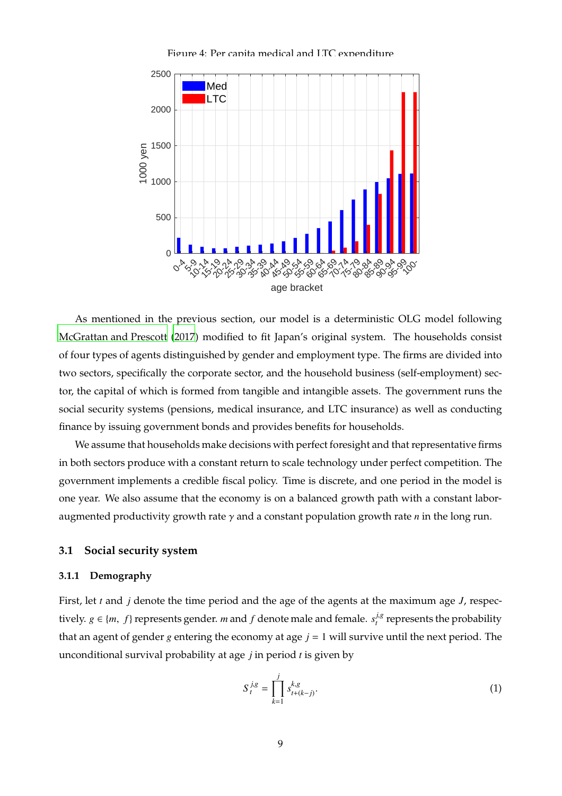<span id="page-8-0"></span>Figure 4: Per capita medical and LTC expenditure



As mentioned in the previous section, our model is a deterministic OLG model following [McGrattan and Prescott](#page-29-0) [\(2017](#page-29-0)) modified to fit Japan's original system. The households consist of four types of agents distinguished by gender and employment type. The firms are divided into two sectors, specifically the corporate sector, and the household business (self-employment) sector, the capital of which is formed from tangible and intangible assets. The government runs the social security systems (pensions, medical insurance, and LTC insurance) as well as conducting finance by issuing government bonds and provides benefits for households.

We assume that households make decisions with perfect foresight and that representative firms in both sectors produce with a constant return to scale technology under perfect competition. The government implements a credible fiscal policy. Time is discrete, and one period in the model is one year. We also assume that the economy is on a balanced growth path with a constant laboraugmented productivity growth rate γ and a constant population growth rate *n* in the long run.

# **3.1 Social security system**

# **3.1.1 Demography**

First, let *t* and *j* denote the time period and the age of the agents at the maximum age *J*, respectively.  $g \in \{m, f\}$  represents gender. *m* and  $f$  denote male and female.  $s_t^{j,g}$  $t_t^{l,s}$  represents the probability that an agent of gender *g* entering the economy at age  $j = 1$  will survive until the next period. The unconditional survival probability at age *j* in period *t* is given by

$$
S_t^{j,g} = \prod_{k=1}^j s_{t+(k-j)}^{k,g}.
$$
 (1)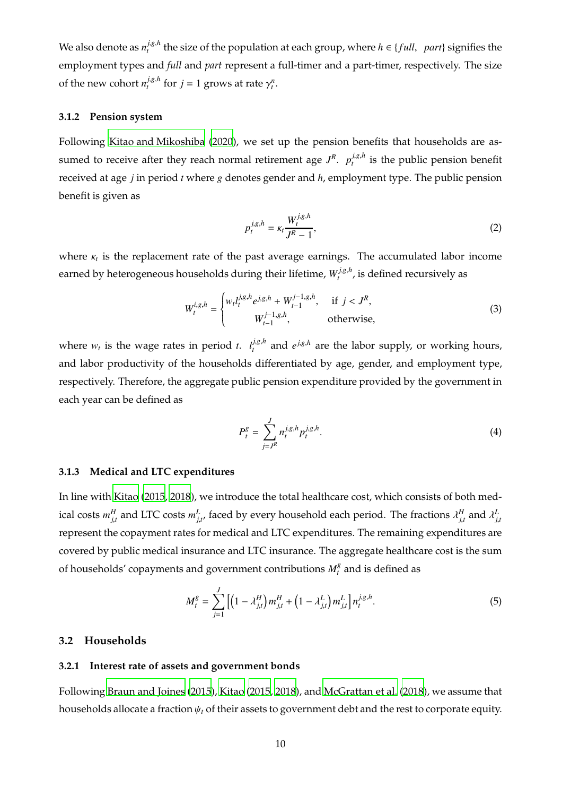We also denote as  $n^{j,g,h}_{t}$  $t^{l,s,n}$  the size of the population at each group, where  $h \in \{full, part\}$  signifies the employment types and *full* and *part* represent a full-timer and a part-timer, respectively. The size of the new cohort  $n_t^{j,g,h}$  $\int_{t}^{j,g,h}$  for  $j = 1$  grows at rate  $\gamma_t^n$ .

# **3.1.2 Pension system**

Following [Kitao and Mikoshiba](#page-29-12) [\(2020](#page-29-12)), we set up the pension benefits that households are assumed to receive after they reach normal retirement age  $J^R$ .  $p_t^{j,g,h}$  $t_t^{J,g,n}$  is the public pension benefit received at age *j* in period *t* where *g* denotes gender and *h*, employment type. The public pension benefit is given as

$$
p_t^{j,g,h} = \kappa_t \frac{W_t^{j,g,h}}{J^R - 1},\tag{2}
$$

where κ*<sup>t</sup>* is the replacement rate of the past average earnings. The accumulated labor income earned by heterogeneous households during their lifetime*,*  $W_t^{j,g,h}$  $t_t^{J,g,n}$ , is defined recursively as

$$
W_t^{i,g,h} = \begin{cases} w_t l_t^{j,g,h} e^{j,g,h} + W_{t-1}^{j-1,g,h}, & \text{if } j < J^R, \\ W_{t-1}^{j-1,g,h}, & \text{otherwise,} \end{cases}
$$
(3)

where  $w_t$  is the wage rates in period *t*.  $l_t^{j,g,h}$  $t^{j,g,h}$  and  $e^{j,g,h}$  are the labor supply, or working hours, and labor productivity of the households differentiated by age, gender, and employment type, respectively. Therefore, the aggregate public pension expenditure provided by the government in each year can be defined as

$$
P_t^g = \sum_{j=J^R}^J n_t^{j,g,h} p_t^{j,g,h}.
$$
 (4)

# **3.1.3 Medical and LTC expenditures**

In line with [Kitao \(2015,](#page-29-4) [2018](#page-29-5)), we introduce the total healthcare cost, which consists of both medical costs  $m_{j,t}^H$  and LTC costs  $m_{j,t'}^L$  faced by every household each period. The fractions  $\lambda_{j,t}^H$  and  $\lambda_{j,t}^L$ represent the copayment rates for medical and LTC expenditures. The remaining expenditures are covered by public medical insurance and LTC insurance. The aggregate healthcare cost is the sum of households' copayments and government contributions  $M_t^g$  $\frac{8}{t}$  and is defined as

$$
M_t^g = \sum_{j=1}^J \left[ \left( 1 - \lambda_{j,t}^H \right) m_{j,t}^H + \left( 1 - \lambda_{j,t}^L \right) m_{j,t}^L \right] n_t^{j,g,h}.
$$
 (5)

# **3.2 Households**

# **3.2.1 Interest rate of assets and government bonds**

Following [Braun and Joines \(2015\)](#page-29-2), [Kitao](#page-29-4) [\(2015](#page-29-4), [2018](#page-29-5)), and [McGrattan et al.](#page-29-9) [\(2018](#page-29-9)), we assume that households allocate a fraction ψ*<sup>t</sup>* of their assets to government debt and the rest to corporate equity.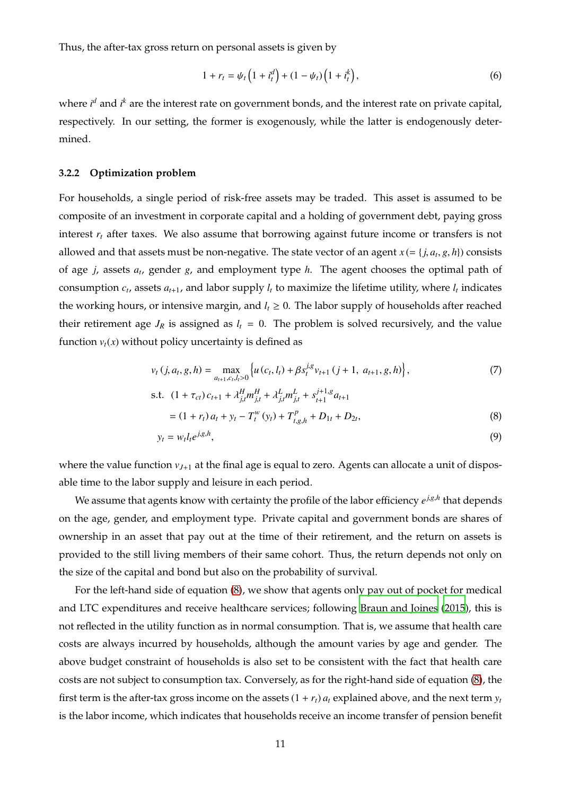Thus, the after-tax gross return on personal assets is given by

$$
1 + r_t = \psi_t \left( 1 + i_t^d \right) + (1 - \psi_t) \left( 1 + i_t^k \right), \tag{6}
$$

where *i*<sup>d</sup> and *i*<sup>k</sup> are the interest rate on government bonds, and the interest rate on private capital, respectively. In our setting, the former is exogenously, while the latter is endogenously determined.

#### **3.2.2 Optimization problem**

For households, a single period of risk-free assets may be traded. This asset is assumed to be composite of an investment in corporate capital and a holding of government debt, paying gross interest *r<sup>t</sup>* after taxes. We also assume that borrowing against future income or transfers is not allowed and that assets must be non-negative. The state vector of an agent  $x$  (= { $j$ ,  $a_t$ ,  $g$ ,  $h$ }) consists of age *j*, assets *a<sup>t</sup>* , gender *g*, and employment type *h*. The agent chooses the optimal path of consumption  $c_t$ , assets  $a_{t+1}$ , and labor supply  $l_t$  to maximize the lifetime utility, where  $l_t$  indicates the working hours, or intensive margin, and  $l_t \geq 0$ . The labor supply of households after reached their retirement age  $J_R$  is assigned as  $l_t = 0$ . The problem is solved recursively, and the value function  $v_t(x)$  without policy uncertainty is defined as

$$
v_t(j, a_t, g, h) = \max_{a_{t+1}, c_t, l_t > 0} \left\{ u(c_t, l_t) + \beta s_t^{j, g} v_{t+1} (j+1, a_{t+1}, g, h) \right\},\tag{7}
$$

s.t. 
$$
(1 + \tau_{ct}) c_{t+1} + \lambda_{j,t}^H m_{j,t}^H + \lambda_{j,t}^L m_{j,t}^L + s_{t+1}^{j+1,g} a_{t+1}
$$

$$
= (1 + r_t) a_t + y_t - T_t^W (y_t) + T_{t,g,h}^p + D_{1t} + D_{2t},
$$
(8)

<span id="page-10-1"></span><span id="page-10-0"></span>
$$
y_t = w_t l_t e^{j_s h},\tag{9}
$$

where the value function  $v_{J+1}$  at the final age is equal to zero. Agents can allocate a unit of disposable time to the labor supply and leisure in each period.

We assume that agents know with certainty the profile of the labor efficiency  $e^{j,g,h}$  that depends on the age, gender, and employment type. Private capital and government bonds are shares of ownership in an asset that pay out at the time of their retirement, and the return on assets is provided to the still living members of their same cohort. Thus, the return depends not only on the size of the capital and bond but also on the probability of survival.

For the left-hand side of equation [\(8\)](#page-10-0), we show that agents only pay out of pocket for medical and LTC expenditures and receive healthcare services; following [Braun and Joines](#page-29-2) [\(2015](#page-29-2)), this is not reflected in the utility function as in normal consumption. That is, we assume that health care costs are always incurred by households, although the amount varies by age and gender. The above budget constraint of households is also set to be consistent with the fact that health care costs are not subject to consumption tax. Conversely, as for the right-hand side of equation [\(8\)](#page-10-0), the first term is the after-tax gross income on the assets  $(1 + r_t) a_t$  explained above, and the next term  $y_t$ is the labor income, which indicates that households receive an income transfer of pension benefit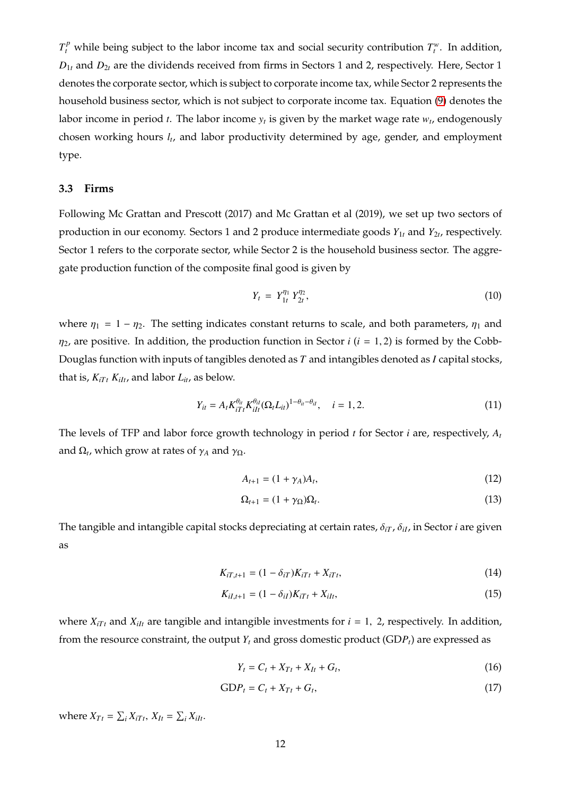$T_t^p$  while being subject to the labor income tax and social security contribution  $T_t^w$ . In addition,  $D_{1t}$  and  $D_{2t}$  are the dividends received from firms in Sectors 1 and 2, respectively. Here, Sector 1 denotes the corporate sector, which is subject to corporate income tax, while Sector 2 represents the household business sector, which is not subject to corporate income tax. Equation [\(9\)](#page-10-1) denotes the labor income in period *t*. The labor income *y<sup>t</sup>* is given by the market wage rate *w<sup>t</sup>* , endogenously chosen working hours *l<sup>t</sup>* , and labor productivity determined by age, gender, and employment type.

#### **3.3 Firms**

Following Mc Grattan and Prescott (2017) and Mc Grattan et al (2019), we set up two sectors of production in our economy. Sectors 1 and 2 produce intermediate goods *Y*1*<sup>t</sup>* and *Y*2*<sup>t</sup>* , respectively. Sector 1 refers to the corporate sector, while Sector 2 is the household business sector. The aggregate production function of the composite final good is given by

$$
Y_t = Y_{1t}^{\eta_1} Y_{2t}^{\eta_2}, \tag{10}
$$

where  $\eta_1 = 1 - \eta_2$ . The setting indicates constant returns to scale, and both parameters,  $\eta_1$  and  $\eta_2$ , are positive. In addition, the production function in Sector *i* ( $i = 1, 2$ ) is formed by the Cobb-Douglas function with inputs of tangibles denoted as *T* and intangibles denoted as *I* capital stocks, that is,  $K_{iTt} K_{ilt}$ , and labor  $L_{it}$ , as below.

$$
Y_{it} = A_t K_{iTt}^{\theta_{it}} K_{iIt}^{\theta_{il}} (\Omega_t L_{it})^{1-\theta_{it}-\theta_{il}}, \quad i = 1, 2.
$$
 (11)

The levels of TFP and labor force growth technology in period *t* for Sector *i* are, respectively, *A<sup>t</sup>* and  $\Omega_t$ , which grow at rates of  $\gamma_A$  and  $\gamma_{\Omega}$ .

$$
A_{t+1} = (1 + \gamma_A)A_t, \tag{12}
$$

$$
\Omega_{t+1} = (1 + \gamma_{\Omega})\Omega_t. \tag{13}
$$

The tangible and intangible capital stocks depreciating at certain rates, δ*iT* , δ*iI*, in Sector *i* are given as

$$
K_{iT,t+1} = (1 - \delta_{iT})K_{iTt} + X_{iTt},
$$
\n(14)

$$
K_{iI,t+1} = (1 - \delta_{iI})K_{iTt} + X_{iIt},
$$
\n(15)

where  $X_{iTt}$  and  $X_{iIt}$  are tangible and intangible investments for  $i = 1, 2$ , respectively. In addition, from the resource constraint, the output  $Y_t$  and gross domestic product (GDP<sub>t</sub>) are expressed as

$$
Y_t = C_t + X_{Tt} + X_{It} + G_t, \tag{16}
$$

$$
GDP_t = C_t + X_{Tt} + G_t, \qquad (17)
$$

where  $X_{Tt} = \sum_i X_{iTt}$ ,  $X_{It} = \sum_i X_{ilt}$ .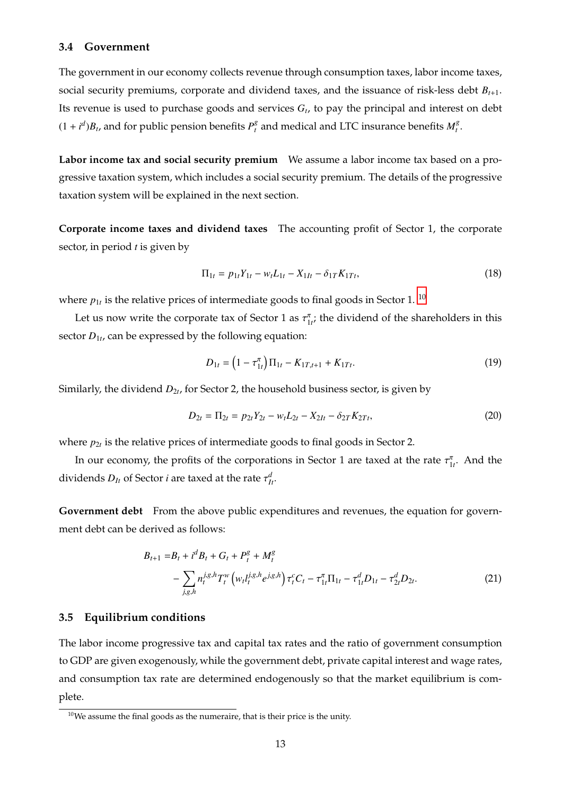## **3.4 Government**

The government in our economy collects revenue through consumption taxes, labor income taxes, social security premiums, corporate and dividend taxes, and the issuance of risk-less debt *Bt*+1. Its revenue is used to purchase goods and services *G<sup>t</sup>* , to pay the principal and interest on debt  $(1 + i^d)B_t$ , and for public pension benefits  $P_t^g$  $\frac{g}{t}$  and medical and LTC insurance benefits  $M_t^g$ *t* .

**Labor income tax and social security premium** We assume a labor income tax based on a progressive taxation system, which includes a social security premium. The details of the progressive taxation system will be explained in the next section.

**Corporate income taxes and dividend taxes** The accounting profit of Sector 1, the corporate sector, in period *t* is given by

$$
\Pi_{1t} = p_{1t}Y_{1t} - w_t L_{1t} - X_{1It} - \delta_{1T} K_{1Tt},
$$
\n(18)

where  $p_{1t}$  is the relative prices of intermediate goods to final goods in Sector 1.  $^{\rm 10}$  $^{\rm 10}$  $^{\rm 10}$ 

Let us now write the corporate tax of Sector 1 as  $\tau_{1i}^{\pi}$ , the dividend of the shareholders in this sector *D*1*<sup>t</sup>* , can be expressed by the following equation:

$$
D_{1t} = \left(1 - \tau_{1t}^{\pi}\right) \Pi_{1t} - K_{1T,t+1} + K_{1Tt}.
$$
\n(19)

Similarly, the dividend  $D_{2t}$ , for Sector 2, the household business sector, is given by

$$
D_{2t} = \Pi_{2t} = p_{2t}Y_{2t} - w_t L_{2t} - X_{2It} - \delta_{2T} K_{2Tt},
$$
\n(20)

where  $p_{2t}$  is the relative prices of intermediate goods to final goods in Sector 2.

In our economy, the profits of the corporations in Sector 1 are taxed at the rate  $\tau_{1t}^{\pi}$ . And the dividends  $D_{It}$  of Sector *i* are taxed at the rate  $\tau_{It}^d$ .

**Government debt** From the above public expenditures and revenues, the equation for government debt can be derived as follows:

$$
B_{t+1} = B_t + i^d B_t + G_t + P_t^g + M_t^g
$$
  
- 
$$
\sum_{j,g,h} n_t^{j,g,h} T_t^w \left( w_t l_t^{j,g,h} e^{j,g,h} \right) \tau_t^c C_t - \tau_{1t}^{\pi} \Pi_{1t} - \tau_{1t}^d D_{1t} - \tau_{2t}^d D_{2t}.
$$
 (21)

# **3.5 Equilibrium conditions**

The labor income progressive tax and capital tax rates and the ratio of government consumption to GDP are given exogenously, while the government debt, private capital interest and wage rates, and consumption tax rate are determined endogenously so that the market equilibrium is complete.

<span id="page-12-0"></span> $10$ We assume the final goods as the numeraire, that is their price is the unity.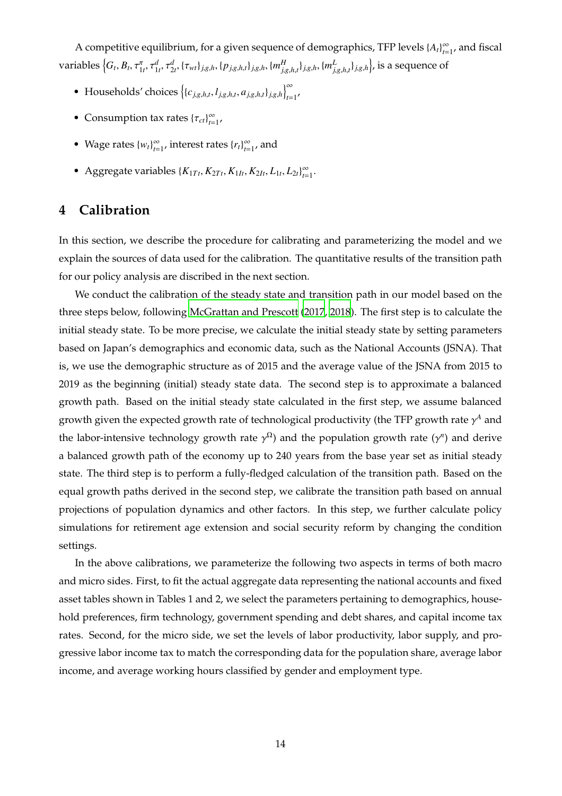A competitive equilibrium, for a given sequence of demographics, TFP levels  $\{A_t\}_{t=1}^{\infty}$ , and fiscal variables  $\left\{G_t, B_t, \tau_{1t}^\pi, \tau_{1t}^d, \tau_{2t}^d, \{\tau_{wt}\}_{j,g,h}, \{p_{j,g,h,t}\}_{j,g,h}, \{m_{j,g,h,t}^H\}_{j,g,h}, \{m_{j,g,h,t}^L\}_{j,g,h}\right\}$ , is a sequence of

- Households' choices  $\left\{ \{c_{j,g,h,t}, l_{j,g,h,t}, a_{j,g,h,t} \}_{j,g,h} \right\}_{t=1}^{\infty}$
- Consumption tax rates  ${\lbrace \tau_{ct} \rbrace}_{t=1}^{\infty}$
- Wage rates  ${w_t}_{t=1}^{\infty}$ , interest rates  ${r_t}_{t=1}^{\infty}$ , and
- <span id="page-13-0"></span>● Aggregate variables  $\{K_{1Tt}, K_{2Tt}, K_{1It}, K_{2It}, L_{1t}, L_{2t}\}_{t=1}^{\infty}$ .

# **4 Calibration**

In this section, we describe the procedure for calibrating and parameterizing the model and we explain the sources of data used for the calibration. The quantitative results of the transition path for our policy analysis are discribed in the next section.

We conduct the calibration of the steady state and transition path in our model based on the three steps below, following [McGrattan and Prescott \(2017,](#page-29-0) [2018](#page-29-8)). The first step is to calculate the initial steady state. To be more precise, we calculate the initial steady state by setting parameters based on Japan's demographics and economic data, such as the National Accounts (JSNA). That is, we use the demographic structure as of 2015 and the average value of the JSNA from 2015 to 2019 as the beginning (initial) steady state data. The second step is to approximate a balanced growth path. Based on the initial steady state calculated in the first step, we assume balanced growth given the expected growth rate of technological productivity (the TFP growth rate  $\gamma^A$  and the labor-intensive technology growth rate  $\gamma^{\Omega}$ ) and the population growth rate ( $\gamma^n$ ) and derive a balanced growth path of the economy up to 240 years from the base year set as initial steady state. The third step is to perform a fully-fledged calculation of the transition path. Based on the equal growth paths derived in the second step, we calibrate the transition path based on annual projections of population dynamics and other factors. In this step, we further calculate policy simulations for retirement age extension and social security reform by changing the condition settings.

In the above calibrations, we parameterize the following two aspects in terms of both macro and micro sides. First, to fit the actual aggregate data representing the national accounts and fixed asset tables shown in Tables 1 and 2, we select the parameters pertaining to demographics, household preferences, firm technology, government spending and debt shares, and capital income tax rates. Second, for the micro side, we set the levels of labor productivity, labor supply, and progressive labor income tax to match the corresponding data for the population share, average labor income, and average working hours classified by gender and employment type.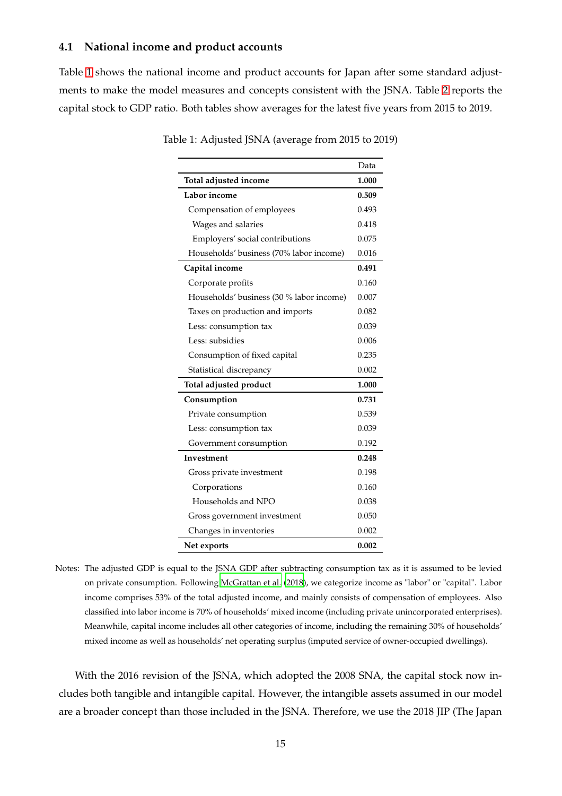# **4.1 National income and product accounts**

Table [1](#page-14-0) shows the national income and product accounts for Japan after some standard adjustments to make the model measures and concepts consistent with the JSNA. Table [2](#page-15-0) reports the capital stock to GDP ratio. Both tables show averages for the latest five years from 2015 to 2019.

<span id="page-14-0"></span>

|                                          | Data  |
|------------------------------------------|-------|
| Total adjusted income                    | 1.000 |
| Labor income                             | 0.509 |
| Compensation of employees                | 0.493 |
| Wages and salaries                       | 0.418 |
| Employers' social contributions          | 0.075 |
| Households' business (70% labor income)  | 0.016 |
| Capital income                           | 0.491 |
| Corporate profits                        | 0.160 |
| Households' business (30 % labor income) | 0.007 |
| Taxes on production and imports          | 0.082 |
| Less: consumption tax                    | 0.039 |
| Less: subsidies                          | 0.006 |
| Consumption of fixed capital             | 0.235 |
| Statistical discrepancy                  | 0.002 |
| Total adjusted product                   | 1.000 |
| Consumption                              | 0.731 |
| Private consumption                      | 0.539 |
| Less: consumption tax                    | 0.039 |
| Government consumption                   | 0.192 |
| Investment                               | 0.248 |
| Gross private investment                 | 0.198 |
| Corporations                             | 0.160 |
| Households and NPO                       | 0.038 |
| Gross government investment              | 0.050 |
| Changes in inventories                   | 0.002 |
| Net exports                              | 0.002 |

Table 1: Adjusted JSNA (average from 2015 to 2019)

Notes: The adjusted GDP is equal to the JSNA GDP after subtracting consumption tax as it is assumed to be levied on private consumption. Following [McGrattan et al. \(2018](#page-29-9)), we categorize income as "labor" or "capital". Labor income comprises 53% of the total adjusted income, and mainly consists of compensation of employees. Also classified into labor income is 70% of households' mixed income (including private unincorporated enterprises). Meanwhile, capital income includes all other categories of income, including the remaining 30% of households' mixed income as well as households' net operating surplus (imputed service of owner-occupied dwellings).

With the 2016 revision of the JSNA, which adopted the 2008 SNA, the capital stock now includes both tangible and intangible capital. However, the intangible assets assumed in our model are a broader concept than those included in the JSNA. Therefore, we use the 2018 JIP (The Japan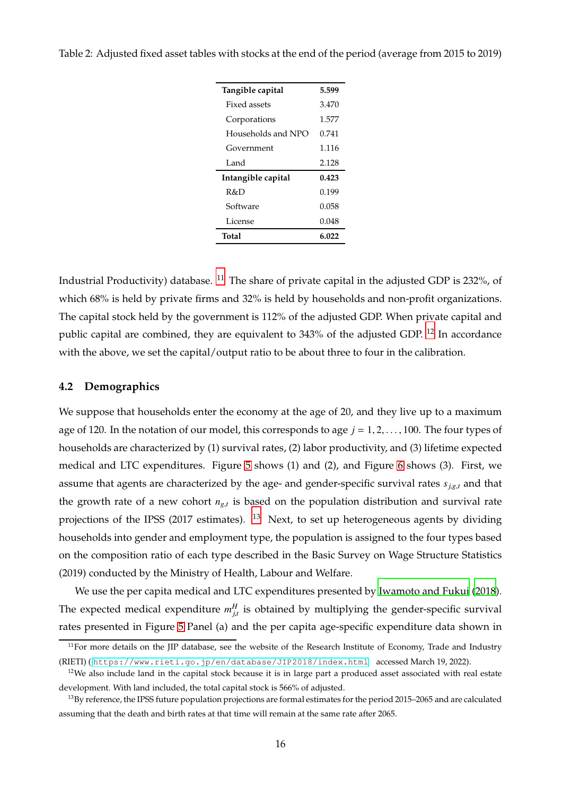| Tangible capital   | 5.599 |
|--------------------|-------|
| Fixed assets       | 3.470 |
| Corporations       | 1.577 |
| Households and NPO | 0.741 |
| Government         | 1.116 |
| Land               | 2.128 |
| Intangible capital | 0.423 |
| R&D                | 0.199 |
| Software           | 0.058 |
| License            | 0.048 |
| Total              | 6.022 |

<span id="page-15-0"></span>Table 2: Adjusted fixed asset tables with stocks at the end of the period (average from 2015 to 2019)

Industrial Productivity) database. [11](#page-15-1) The share of private capital in the adjusted GDP is 232%, of which 68% is held by private firms and 32% is held by households and non-profit organizations. The capital stock held by the government is 112% of the adjusted GDP. When private capital and public capital are combined, they are equivalent to 343% of the adjusted GDP. <sup>[12](#page-15-2)</sup> In accordance with the above, we set the capital/output ratio to be about three to four in the calibration.

## **4.2 Demographics**

We suppose that households enter the economy at the age of 20, and they live up to a maximum age of 120. In the notation of our model, this corresponds to age  $j = 1, 2, \ldots, 100$ . The four types of households are characterized by (1) survival rates, (2) labor productivity, and (3) lifetime expected medical and LTC expenditures. Figure [5](#page-16-0) shows (1) and (2), and Figure [6](#page-17-0) shows (3). First, we assume that agents are characterized by the age- and gender-specific survival rates *sj*,*g*,*<sup>t</sup>* and that the growth rate of a new cohort *ng*,*<sup>t</sup>* is based on the population distribution and survival rate projections of the IPSS (2017 estimates). <sup>[13](#page-15-3)</sup> Next, to set up heterogeneous agents by dividing households into gender and employment type, the population is assigned to the four types based on the composition ratio of each type described in the Basic Survey on Wage Structure Statistics (2019) conducted by the Ministry of Health, Labour and Welfare.

We use the per capita medical and LTC expenditures presented by [Iwamoto and Fukui \(2018](#page-29-16)). The expected medical expenditure  $m_{j,t}^H$  is obtained by multiplying the gender-specific survival rates presented in Figure [5](#page-16-0) Panel (a) and the per capita age-specific expenditure data shown in

<span id="page-15-1"></span><sup>&</sup>lt;sup>11</sup>For more details on the JIP database, see the website of the Research Institute of Economy, Trade and Industry (RIETI) ( <https://www.rieti.go.jp/en/database/JIP2018/index.html> accessed March 19, 2022).

<span id="page-15-2"></span> $12$ We also include land in the capital stock because it is in large part a produced asset associated with real estate development. With land included, the total capital stock is 566% of adjusted.

<span id="page-15-3"></span><sup>13</sup>By reference, the IPSS future population projections are formal estimates for the period 2015–2065 and are calculated assuming that the death and birth rates at that time will remain at the same rate after 2065.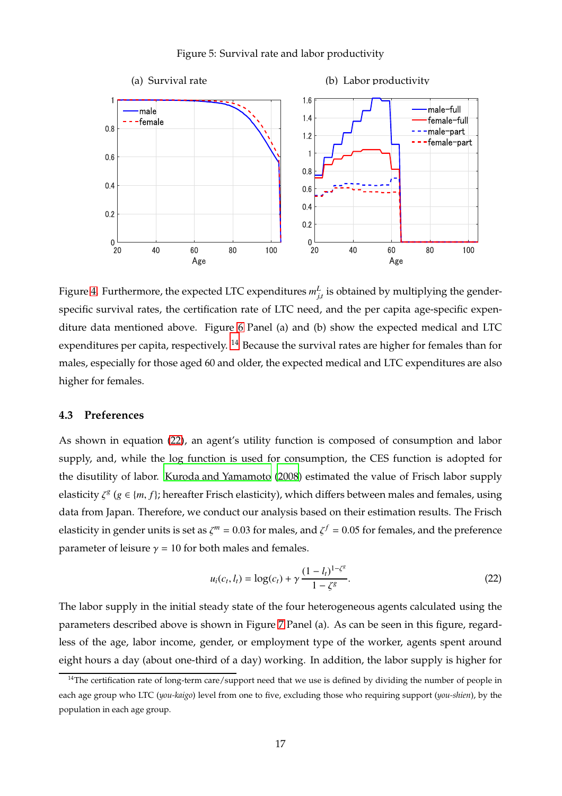#### <span id="page-16-0"></span>Figure 5: Survival rate and labor productivity



Figure [4.](#page-8-0) Furthermore, the expected LTC expenditures  $m_{j,t}^L$  is obtained by multiplying the genderspecific survival rates, the certification rate of LTC need, and the per capita age-specific expenditure data mentioned above. Figure [6](#page-17-0) Panel (a) and (b) show the expected medical and LTC expenditures per capita, respectively. <sup>[14](#page-16-1)</sup> Because the survival rates are higher for females than for males, especially for those aged 60 and older, the expected medical and LTC expenditures are also higher for females.

# **4.3 Preferences**

As shown in equation [\(22\)](#page-16-2), an agent's utility function is composed of consumption and labor supply, and, while the log function is used for consumption, the CES function is adopted for the disutility of labor. [Kuroda and Yamamoto \(2008](#page-29-17)) estimated the value of Frisch labor supply elasticity  $\zeta^g$  ( $g \in \{m, f\}$ ; hereafter Frisch elasticity), which differs between males and females, using data from Japan. Therefore, we conduct our analysis based on their estimation results. The Frisch elasticity in gender units is set as  $\zeta^m = 0.03$  for males, and  $\zeta^f = 0.05$  for females, and the preference parameter of leisure  $\gamma = 10$  for both males and females.

<span id="page-16-2"></span>
$$
u_i(c_t, l_t) = \log(c_t) + \gamma \frac{(1 - l_t)^{1 - \zeta^g}}{1 - \zeta^g}.
$$
\n(22)

The labor supply in the initial steady state of the four heterogeneous agents calculated using the parameters described above is shown in Figure [7](#page-18-0) Panel (a). As can be seen in this figure, regardless of the age, labor income, gender, or employment type of the worker, agents spent around eight hours a day (about one-third of a day) working. In addition, the labor supply is higher for

<span id="page-16-1"></span><sup>&</sup>lt;sup>14</sup>The certification rate of long-term care/support need that we use is defined by dividing the number of people in each age group who LTC (*you-kaigo*) level from one to five, excluding those who requiring support (*you-shien*), by the population in each age group.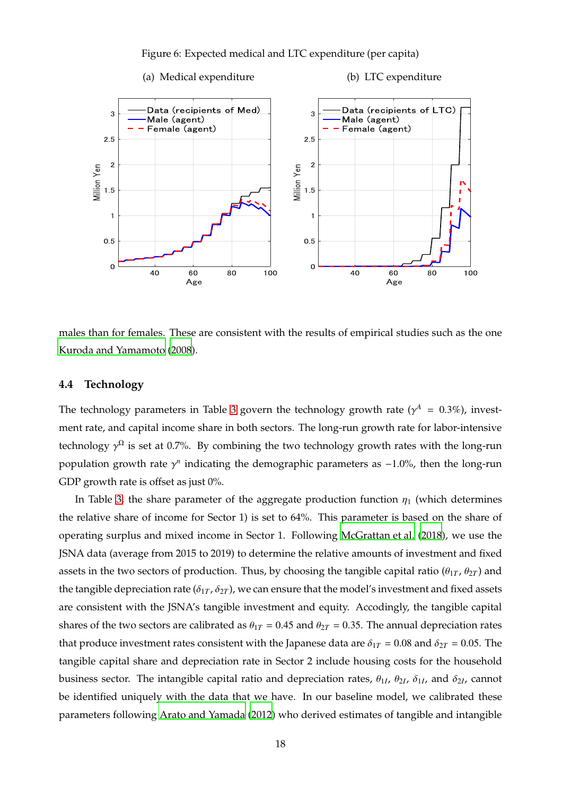

<span id="page-17-0"></span>



males than for females. These are consistent with the results of empirical studies such as the one [Kuroda and Yamamoto \(2008](#page-29-17)).

# **4.4 Technology**

The technology parameters in Table [3](#page-19-0) govern the technology growth rate ( $\gamma^A = 0.3\%$ ), investment rate, and capital income share in both sectors. The long-run growth rate for labor-intensive technology  $\gamma^{\Omega}$  is set at 0.7%. By combining the two technology growth rates with the long-run population growth rate γ<sup>n</sup> indicating the demographic parameters as −1.0%, then the long-run GDP growth rate is offset as just 0%.

In Table [3,](#page-19-0) the share parameter of the aggregate production function  $\eta_1$  (which determines the relative share of income for Sector 1) is set to 64%. This parameter is based on the share of operating surplus and mixed income in Sector 1. Following [McGrattan et al. \(2018](#page-29-9)), we use the JSNA data (average from 2015 to 2019) to determine the relative amounts of investment and fixed assets in the two sectors of production. Thus, by choosing the tangible capital ratio ( $\theta_{1T}$ ,  $\theta_{2T}$ ) and the tangible depreciation rate ( $\delta_{1T}$ ,  $\delta_{2T}$ ), we can ensure that the model's investment and fixed assets are consistent with the JSNA's tangible investment and equity. Accodingly, the tangible capital shares of the two sectors are calibrated as  $\theta_{1T} = 0.45$  and  $\theta_{2T} = 0.35$ . The annual depreciation rates that produce investment rates consistent with the Japanese data are  $\delta_{1T} = 0.08$  and  $\delta_{2T} = 0.05$ . The tangible capital share and depreciation rate in Sector 2 include housing costs for the household business sector. The intangible capital ratio and depreciation rates,  $\theta_{1I}$ ,  $\theta_{2I}$ ,  $\delta_{1I}$ , and  $\delta_{2I}$ , cannot be identified uniquely with the data that we have. In our baseline model, we calibrated these parameters following [Arato and Yamada \(2012](#page-29-18)) who derived estimates of tangible and intangible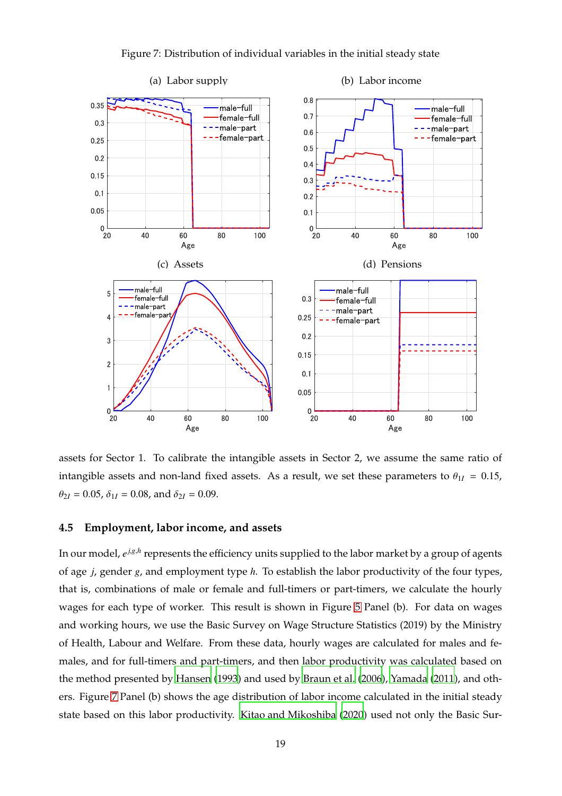

<span id="page-18-0"></span>Figure 7: Distribution of individual variables in the initial steady state

assets for Sector 1. To calibrate the intangible assets in Sector 2, we assume the same ratio of intangible assets and non-land fixed assets. As a result, we set these parameters to  $\theta_{1I} = 0.15$ ,  $\theta_{2I} = 0.05$ ,  $\delta_{1I} = 0.08$ , and  $\delta_{2I} = 0.09$ .

# **4.5 Employment, labor income, and assets**

In our model*, e<sup>j,g,h</sup>* represents the efficiency units supplied to the labor market by a group of agents of age *j*, gender *g*, and employment type *h*. To establish the labor productivity of the four types, that is, combinations of male or female and full-timers or part-timers, we calculate the hourly wages for each type of worker. This result is shown in Figure [5](#page-16-0) Panel (b). For data on wages and working hours, we use the Basic Survey on Wage Structure Statistics (2019) by the Ministry of Health, Labour and Welfare. From these data, hourly wages are calculated for males and females, and for full-timers and part-timers, and then labor productivity was calculated based on the method presented by [Hansen \(1993\)](#page-29-19) and used by [Braun et al.](#page-29-20) [\(2006](#page-29-20)), [Yamada \(2011](#page-29-21)), and others. Figure [7](#page-18-0) Panel (b) shows the age distribution of labor income calculated in the initial steady state based on this labor productivity. [Kitao and Mikoshiba \(2020\)](#page-29-12) used not only the Basic Sur-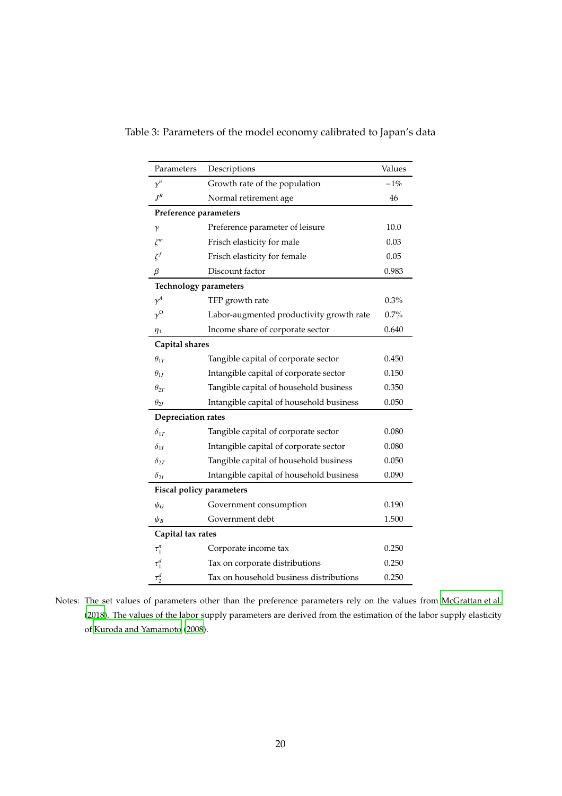<span id="page-19-0"></span>

| Parameters                      | Descriptions                             | Values |  |  |  |  |  |
|---------------------------------|------------------------------------------|--------|--|--|--|--|--|
| $\gamma^n$                      | Growth rate of the population            | $-1%$  |  |  |  |  |  |
| $J^R$                           | Normal retirement age                    | 46     |  |  |  |  |  |
| Preference parameters           |                                          |        |  |  |  |  |  |
| γ                               | Preference parameter of leisure          | 10.0   |  |  |  |  |  |
| $\zeta^m$                       | Frisch elasticity for male               | 0.03   |  |  |  |  |  |
| $\zeta^f$                       | Frisch elasticity for female             | 0.05   |  |  |  |  |  |
| $\beta$                         | Discount factor                          | 0.983  |  |  |  |  |  |
| <b>Technology parameters</b>    |                                          |        |  |  |  |  |  |
| $\gamma^A$                      | TFP growth rate                          | 0.3%   |  |  |  |  |  |
| $\gamma^{\Omega}$               | Labor-augmented productivity growth rate | 0.7%   |  |  |  |  |  |
| $\eta_1$                        | Income share of corporate sector         | 0.640  |  |  |  |  |  |
| Capital shares                  |                                          |        |  |  |  |  |  |
| $\theta_{1T}$                   | Tangible capital of corporate sector     | 0.450  |  |  |  |  |  |
| $\theta_{1I}$                   | Intangible capital of corporate sector   | 0.150  |  |  |  |  |  |
| $\theta_{2T}$                   | Tangible capital of household business   | 0.350  |  |  |  |  |  |
| $\theta_{2I}$                   | Intangible capital of household business | 0.050  |  |  |  |  |  |
| <b>Depreciation rates</b>       |                                          |        |  |  |  |  |  |
| $\delta_{1T}$                   | Tangible capital of corporate sector     | 0.080  |  |  |  |  |  |
| $\delta_{1I}$                   | Intangible capital of corporate sector   | 0.080  |  |  |  |  |  |
| $\delta_{2T}$                   | Tangible capital of household business   | 0.050  |  |  |  |  |  |
| $\delta_{2I}$                   | Intangible capital of household business | 0.090  |  |  |  |  |  |
| <b>Fiscal policy parameters</b> |                                          |        |  |  |  |  |  |
| $\psi_G$                        | Government consumption                   | 0.190  |  |  |  |  |  |
| $\psi_B$                        | Government debt                          | 1.500  |  |  |  |  |  |
| Capital tax rates               |                                          |        |  |  |  |  |  |
| $\tau_1^{\pi}$                  | Corporate income tax                     | 0.250  |  |  |  |  |  |
| $\tau_1^d$                      | Tax on corporate distributions           | 0.250  |  |  |  |  |  |
| $\tau_2^d$                      | Tax on household business distributions  | 0.250  |  |  |  |  |  |

Table 3: Parameters of the model economy calibrated to Japan's data

Notes: The set values of parameters other than the preference parameters rely on the values from [McGrattan et al.](#page-29-9) [\(2018](#page-29-9)). The values of the labor supply parameters are derived from the estimation of the labor supply elasticity of [Kuroda and Yamamoto](#page-29-17) [\(2008](#page-29-17)).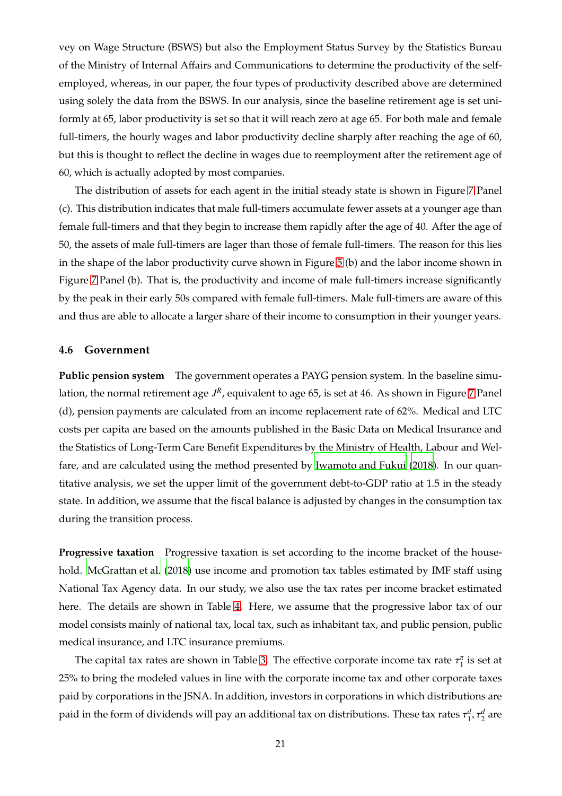vey on Wage Structure (BSWS) but also the Employment Status Survey by the Statistics Bureau of the Ministry of Internal Affairs and Communications to determine the productivity of the selfemployed, whereas, in our paper, the four types of productivity described above are determined using solely the data from the BSWS. In our analysis, since the baseline retirement age is set uniformly at 65, labor productivity is set so that it will reach zero at age 65. For both male and female full-timers, the hourly wages and labor productivity decline sharply after reaching the age of 60, but this is thought to reflect the decline in wages due to reemployment after the retirement age of 60, which is actually adopted by most companies.

The distribution of assets for each agent in the initial steady state is shown in Figure [7](#page-18-0) Panel (c). This distribution indicates that male full-timers accumulate fewer assets at a younger age than female full-timers and that they begin to increase them rapidly after the age of 40. After the age of 50, the assets of male full-timers are lager than those of female full-timers. The reason for this lies in the shape of the labor productivity curve shown in Figure [5](#page-16-0) (b) and the labor income shown in Figure [7](#page-18-0) Panel (b). That is, the productivity and income of male full-timers increase significantly by the peak in their early 50s compared with female full-timers. Male full-timers are aware of this and thus are able to allocate a larger share of their income to consumption in their younger years.

# **4.6 Government**

**Public pension system** The government operates a PAYG pension system. In the baseline simulation*,* the normal retirement age  $J^R$ , equivalent to age 65, is set at 46. As shown in Figure [7](#page-18-0) Panel (d), pension payments are calculated from an income replacement rate of 62%. Medical and LTC costs per capita are based on the amounts published in the Basic Data on Medical Insurance and the Statistics of Long-Term Care Benefit Expenditures by the Ministry of Health, Labour and Welfare, and are calculated using the method presented by [Iwamoto and Fukui](#page-29-16) [\(2018](#page-29-16)). In our quantitative analysis, we set the upper limit of the government debt-to-GDP ratio at 1.5 in the steady state. In addition, we assume that the fiscal balance is adjusted by changes in the consumption tax during the transition process.

**Progressive taxation** Progressive taxation is set according to the income bracket of the household. [McGrattan et al. \(2018](#page-29-9)) use income and promotion tax tables estimated by IMF staff using National Tax Agency data. In our study, we also use the tax rates per income bracket estimated here. The details are shown in Table [4.](#page-21-1) Here, we assume that the progressive labor tax of our model consists mainly of national tax, local tax, such as inhabitant tax, and public pension, public medical insurance, and LTC insurance premiums.

The capital tax rates are shown in Table [3.](#page-19-0) The effective corporate income tax rate  $\tau_1^{\pi}$  is set at 25% to bring the modeled values in line with the corporate income tax and other corporate taxes paid by corporations in the JSNA. In addition, investors in corporations in which distributions are paid in the form of dividends will pay an additional tax on distributions. These tax rates  $\tau_1^d$ ,  $\tau_2^d$  are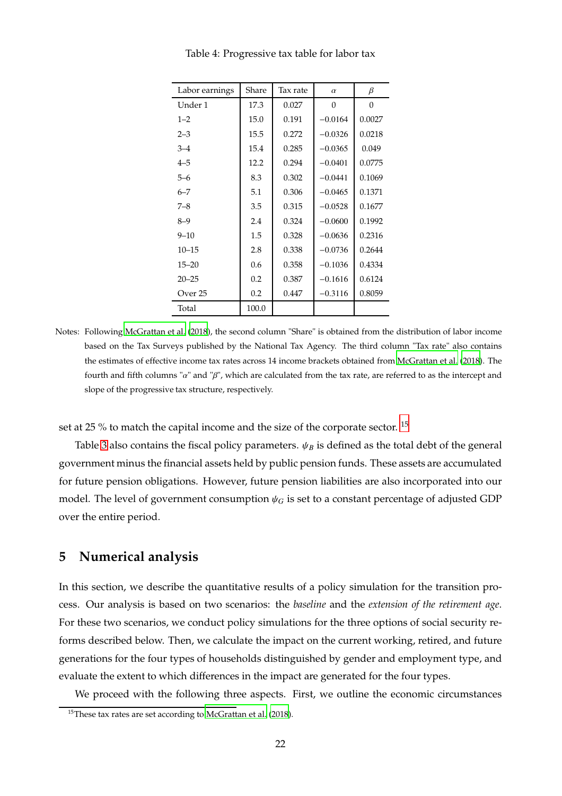| Labor earnings | Share | Tax rate | $\alpha$  | β        |
|----------------|-------|----------|-----------|----------|
| Under 1        | 17.3  | 0.027    | $\Omega$  | $\Omega$ |
| $1 - 2$        | 15.0  | 0.191    | $-0.0164$ | 0.0027   |
| $2 - 3$        | 15.5  | 0.272    | $-0.0326$ | 0.0218   |
| $3 - 4$        | 15.4  | 0.285    | $-0.0365$ | 0.049    |
| $4 - 5$        | 12.2  | 0.294    | $-0.0401$ | 0.0775   |
| $5 - 6$        | 8.3   | 0.302    | $-0.0441$ | 0.1069   |
| $6 - 7$        | 5.1   | 0.306    | $-0.0465$ | 0.1371   |
| $7 - 8$        | 3.5   | 0.315    | $-0.0528$ | 0.1677   |
| $8 - 9$        | 2.4   | 0.324    | $-0.0600$ | 0.1992   |
| $9 - 10$       | 1.5   | 0.328    | $-0.0636$ | 0.2316   |
| $10 - 15$      | 2.8   | 0.338    | $-0.0736$ | 0.2644   |
| $15 - 20$      | 0.6   | 0.358    | $-0.1036$ | 0.4334   |
| $20 - 25$      | 0.2   | 0.387    | $-0.1616$ | 0.6124   |
| Over 25        | 0.2   | 0.447    | $-0.3116$ | 0.8059   |
| Total          | 100.0 |          |           |          |

<span id="page-21-1"></span>Table 4: Progressive tax table for labor tax

Notes: Following [McGrattan et al. \(2018\)](#page-29-9), the second column "Share" is obtained from the distribution of labor income based on the Tax Surveys published by the National Tax Agency. The third column "Tax rate" also contains the estimates of effective income tax rates across 14 income brackets obtained from [McGrattan et al. \(2018\)](#page-29-9). The fourth and fifth columns " $\alpha$ " and " $\beta$ ", which are calculated from the tax rate, are referred to as the intercept and slope of the progressive tax structure, respectively.

set at 25 % to match the capital income and the size of the corporate sector. <sup>[15](#page-21-2)</sup>

Table [3](#page-19-0) also contains the fiscal policy parameters.  $\psi_B$  is defined as the total debt of the general government minus the financial assets held by public pension funds. These assets are accumulated for future pension obligations. However, future pension liabilities are also incorporated into our model. The level of government consumption  $\psi_G$  is set to a constant percentage of adjusted GDP over the entire period.

# <span id="page-21-0"></span>**5 Numerical analysis**

In this section, we describe the quantitative results of a policy simulation for the transition process. Our analysis is based on two scenarios: the *baseline* and the *extension of the retirement age*. For these two scenarios, we conduct policy simulations for the three options of social security reforms described below. Then, we calculate the impact on the current working, retired, and future generations for the four types of households distinguished by gender and employment type, and evaluate the extent to which differences in the impact are generated for the four types.

We proceed with the following three aspects. First, we outline the economic circumstances

<span id="page-21-2"></span><sup>&</sup>lt;sup>15</sup>These tax rates are set according to [McGrattan et al.](#page-29-9) [\(2018](#page-29-9)).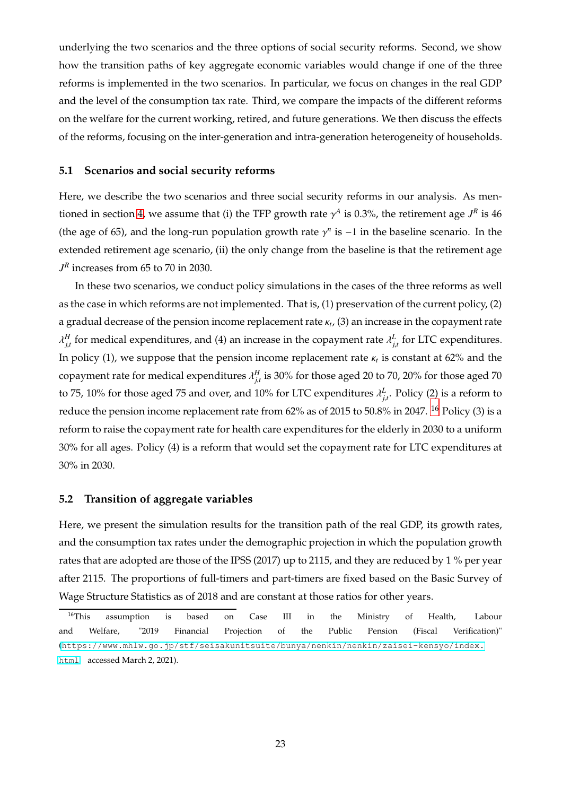underlying the two scenarios and the three options of social security reforms. Second, we show how the transition paths of key aggregate economic variables would change if one of the three reforms is implemented in the two scenarios. In particular, we focus on changes in the real GDP and the level of the consumption tax rate. Third, we compare the impacts of the different reforms on the welfare for the current working, retired, and future generations. We then discuss the effects of the reforms, focusing on the inter-generation and intra-generation heterogeneity of households.

# **5.1 Scenarios and social security reforms**

Here, we describe the two scenarios and three social security reforms in our analysis. As men-tioned in section [4,](#page-13-0) we assume that (i) the TFP growth rate  $\gamma^A$  is 0.3%, the retirement age  $J^R$  is 46 (the age of 65), and the long-run population growth rate  $\gamma$ <sup>n</sup> is −1 in the baseline scenario. In the extended retirement age scenario, (ii) the only change from the baseline is that the retirement age  $J<sup>R</sup>$  increases from 65 to 70 in 2030.

In these two scenarios, we conduct policy simulations in the cases of the three reforms as well as the case in which reforms are not implemented. That is, (1) preservation of the current policy, (2) a gradual decrease of the pension income replacement rate κ*<sup>t</sup>* , (3) an increase in the copayment rate  $\lambda_{j,t}^H$  for medical expenditures, and (4) an increase in the copayment rate  $\lambda_{j,t}^L$  for LTC expenditures. In policy (1), we suppose that the pension income replacement rate  $\kappa_t$  is constant at 62% and the copayment rate for medical expenditures  $\lambda_{j,t}^H$  is 30% for those aged 20 to 70, 20% for those aged 70 to 75, 10% for those aged 75 and over, and 10% for LTC expenditures  $\lambda_{j,t}^L$ . Policy (2) is a reform to reduce the pension income replacement rate from 62% as of 2015 to 50.8% in 2047. <sup>[16](#page-22-0)</sup> Policy (3) is a reform to raise the copayment rate for health care expenditures for the elderly in 2030 to a uniform 30% for all ages. Policy (4) is a reform that would set the copayment rate for LTC expenditures at 30% in 2030.

# **5.2 Transition of aggregate variables**

Here, we present the simulation results for the transition path of the real GDP, its growth rates, and the consumption tax rates under the demographic projection in which the population growth rates that are adopted are those of the IPSS (2017) up to 2115, and they are reduced by 1 % per year after 2115. The proportions of full-timers and part-timers are fixed based on the Basic Survey of Wage Structure Statistics as of 2018 and are constant at those ratios for other years.

<span id="page-22-0"></span><sup>&</sup>lt;sup>16</sup>This assumption is based on Case III in the Ministry of Health, Labour and Welfare, "2019 Financial Projection of the Public Pension (Fiscal Verification)" (<https://www.mhlw.go.jp/stf/seisakunitsuite/bunya/nenkin/nenkin/zaisei-kensyo/index.> <html> accessed March 2, 2021).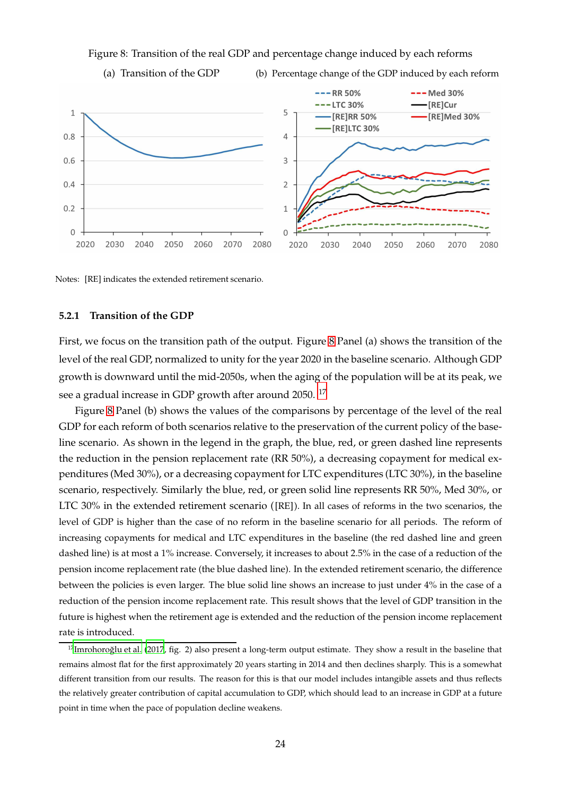Figure 8: Transition of the real GDP and percentage change induced by each reforms

<span id="page-23-0"></span>(a) Transition of the GDP (b) Percentage change of the GDP induced by each reform



Notes: [RE] indicates the extended retirement scenario.

# **5.2.1 Transition of the GDP**

First, we focus on the transition path of the output. Figure [8](#page-23-0) Panel (a) shows the transition of the level of the real GDP, normalized to unity for the year 2020 in the baseline scenario. Although GDP growth is downward until the mid-2050s, when the aging of the population will be at its peak, we see a gradual increase in GDP growth after around 2050.<sup>[17](#page-23-1)</sup>

Figure [8](#page-23-0) Panel (b) shows the values of the comparisons by percentage of the level of the real GDP for each reform of both scenarios relative to the preservation of the current policy of the baseline scenario. As shown in the legend in the graph, the blue, red, or green dashed line represents the reduction in the pension replacement rate (RR 50%), a decreasing copayment for medical expenditures (Med 30%), or a decreasing copayment for LTC expenditures (LTC 30%), in the baseline scenario, respectively. Similarly the blue, red, or green solid line represents RR 50%, Med 30%, or LTC 30% in the extended retirement scenario ([RE] ). In all cases of reforms in the two scenarios, the level of GDP is higher than the case of no reform in the baseline scenario for all periods. The reform of increasing copayments for medical and LTC expenditures in the baseline (the red dashed line and green dashed line) is at most a 1% increase. Conversely, it increases to about 2.5% in the case of a reduction of the pension income replacement rate (the blue dashed line). In the extended retirement scenario, the difference between the policies is even larger. The blue solid line shows an increase to just under 4% in the case of a reduction of the pension income replacement rate. This result shows that the level of GDP transition in the future is highest when the retirement age is extended and the reduction of the pension income replacement rate is introduced.

<span id="page-23-1"></span> $17$ Imrohoroğlu et al. (2017, fig. 2) also present a long-term output estimate. They show a result in the baseline that remains almost flat for the first approximately 20 years starting in 2014 and then declines sharply. This is a somewhat different transition from our results. The reason for this is that our model includes intangible assets and thus reflects the relatively greater contribution of capital accumulation to GDP, which should lead to an increase in GDP at a future point in time when the pace of population decline weakens.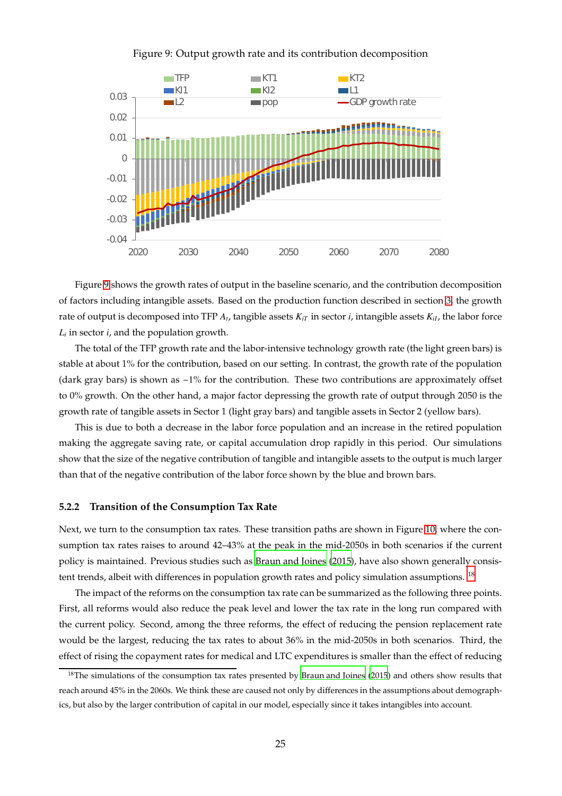

<span id="page-24-0"></span>Figure 9: Output growth rate and its contribution decomposition

Figure [9](#page-24-0) shows the growth rates of output in the baseline scenario, and the contribution decomposition of factors including intangible assets. Based on the production function described in section [3,](#page-7-0) the growth rate of output is decomposed into TFP  $A_t$ , tangible assets  $K_{iT}$  in sector  $i$ , intangible assets  $K_{iI}$ , the labor force *L<sup>i</sup>* in sector *i*, and the population growth.

The total of the TFP growth rate and the labor-intensive technology growth rate (the light green bars) is stable at about 1% for the contribution, based on our setting. In contrast, the growth rate of the population (dark gray bars) is shown as −1% for the contribution. These two contributions are approximately offset to 0% growth. On the other hand, a major factor depressing the growth rate of output through 2050 is the growth rate of tangible assets in Sector 1 (light gray bars) and tangible assets in Sector 2 (yellow bars).

This is due to both a decrease in the labor force population and an increase in the retired population making the aggregate saving rate, or capital accumulation drop rapidly in this period. Our simulations show that the size of the negative contribution of tangible and intangible assets to the output is much larger than that of the negative contribution of the labor force shown by the blue and brown bars.

#### **5.2.2 Transition of the Consumption Tax Rate**

Next, we turn to the consumption tax rates. These transition paths are shown in Figure [10,](#page-25-0) where the consumption tax rates raises to around 42–43% at the peak in the mid-2050s in both scenarios if the current policy is maintained. Previous studies such as [Braun and Joines](#page-29-2) [\(2015\)](#page-29-2), have also shown generally consis-tent trends, albeit with differences in population growth rates and policy simulation assumptions. <sup>[18](#page-24-1)</sup>

The impact of the reforms on the consumption tax rate can be summarized as the following three points. First, all reforms would also reduce the peak level and lower the tax rate in the long run compared with the current policy. Second, among the three reforms, the effect of reducing the pension replacement rate would be the largest, reducing the tax rates to about 36% in the mid-2050s in both scenarios. Third, the effect of rising the copayment rates for medical and LTC expenditures is smaller than the effect of reducing

<span id="page-24-1"></span><sup>&</sup>lt;sup>18</sup>The simulations of the consumption tax rates presented by [Braun and Joines \(2015\)](#page-29-2) and others show results that reach around 45% in the 2060s. We think these are caused not only by differences in the assumptions about demographics, but also by the larger contribution of capital in our model, especially since it takes intangibles into account.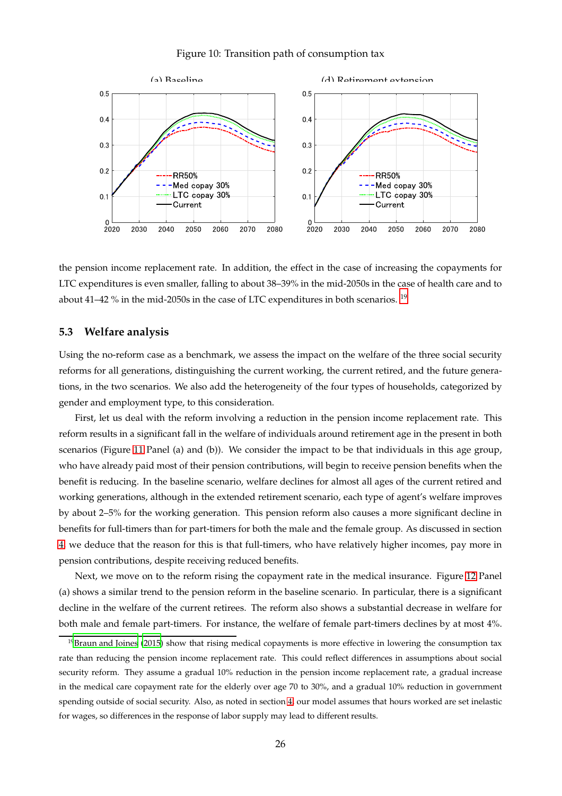<span id="page-25-0"></span>



the pension income replacement rate. In addition, the effect in the case of increasing the copayments for LTC expenditures is even smaller, falling to about 38–39% in the mid-2050s in the case of health care and to about 41–42 % in the mid-2050s in the case of LTC expenditures in both scenarios.  $^{19}$  $^{19}$  $^{19}$ 

# **5.3 Welfare analysis**

Using the no-reform case as a benchmark, we assess the impact on the welfare of the three social security reforms for all generations, distinguishing the current working, the current retired, and the future generations, in the two scenarios. We also add the heterogeneity of the four types of households, categorized by gender and employment type, to this consideration.

First, let us deal with the reform involving a reduction in the pension income replacement rate. This reform results in a significant fall in the welfare of individuals around retirement age in the present in both scenarios (Figure [11](#page-26-0) Panel (a) and (b)). We consider the impact to be that individuals in this age group, who have already paid most of their pension contributions, will begin to receive pension benefits when the benefit is reducing. In the baseline scenario, welfare declines for almost all ages of the current retired and working generations, although in the extended retirement scenario, each type of agent's welfare improves by about 2–5% for the working generation. This pension reform also causes a more significant decline in benefits for full-timers than for part-timers for both the male and the female group. As discussed in section [4,](#page-13-0) we deduce that the reason for this is that full-timers, who have relatively higher incomes, pay more in pension contributions, despite receiving reduced benefits.

Next, we move on to the reform rising the copayment rate in the medical insurance. Figure [12](#page-26-1) Panel (a) shows a similar trend to the pension reform in the baseline scenario. In particular, there is a significant decline in the welfare of the current retirees. The reform also shows a substantial decrease in welfare for both male and female part-timers. For instance, the welfare of female part-timers declines by at most 4%.

<span id="page-25-1"></span> $19B$  [Braun and Joines \(2015](#page-29-2)) show that rising medical copayments is more effective in lowering the consumption tax rate than reducing the pension income replacement rate. This could reflect differences in assumptions about social security reform. They assume a gradual 10% reduction in the pension income replacement rate, a gradual increase in the medical care copayment rate for the elderly over age 70 to 30%, and a gradual 10% reduction in government spending outside of social security. Also, as noted in section [4,](#page-13-0) our model assumes that hours worked are set inelastic for wages, so differences in the response of labor supply may lead to different results.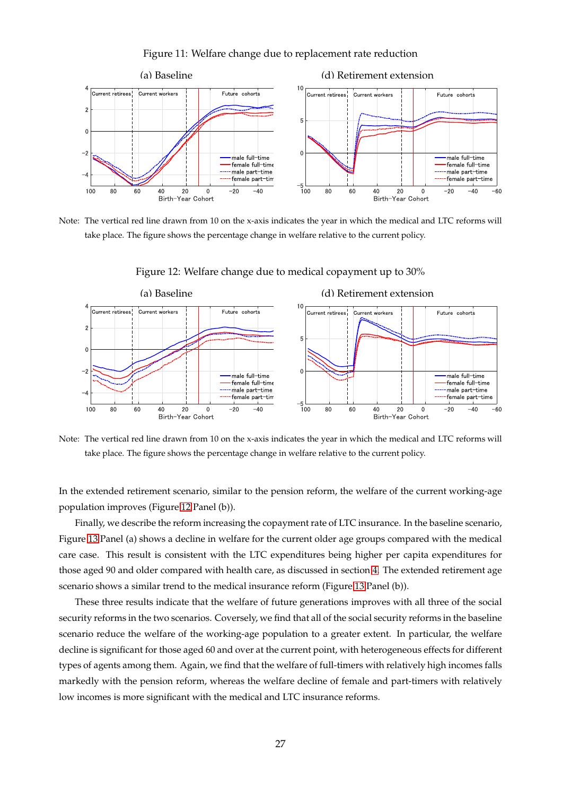

<span id="page-26-0"></span>Figure 11: Welfare change due to replacement rate reduction

Note: The vertical red line drawn from 10 on the x-axis indicates the year in which the medical and LTC reforms will take place. The figure shows the percentage change in welfare relative to the current policy.



<span id="page-26-1"></span>Figure 12: Welfare change due to medical copayment up to 30%

Note: The vertical red line drawn from 10 on the x-axis indicates the year in which the medical and LTC reforms will take place. The figure shows the percentage change in welfare relative to the current policy.

In the extended retirement scenario, similar to the pension reform, the welfare of the current working-age population improves (Figure [12](#page-26-1) Panel (b)).

Finally, we describe the reform increasing the copayment rate of LTC insurance. In the baseline scenario, Figure [13](#page-27-0) Panel (a) shows a decline in welfare for the current older age groups compared with the medical care case. This result is consistent with the LTC expenditures being higher per capita expenditures for those aged 90 and older compared with health care, as discussed in section [4.](#page-13-0) The extended retirement age scenario shows a similar trend to the medical insurance reform (Figure [13](#page-27-0) Panel (b)).

These three results indicate that the welfare of future generations improves with all three of the social security reforms in the two scenarios. Coversely, we find that all of the social security reforms in the baseline scenario reduce the welfare of the working-age population to a greater extent. In particular, the welfare decline is significant for those aged 60 and over at the current point, with heterogeneous effects for different types of agents among them. Again, we find that the welfare of full-timers with relatively high incomes falls markedly with the pension reform, whereas the welfare decline of female and part-timers with relatively low incomes is more significant with the medical and LTC insurance reforms.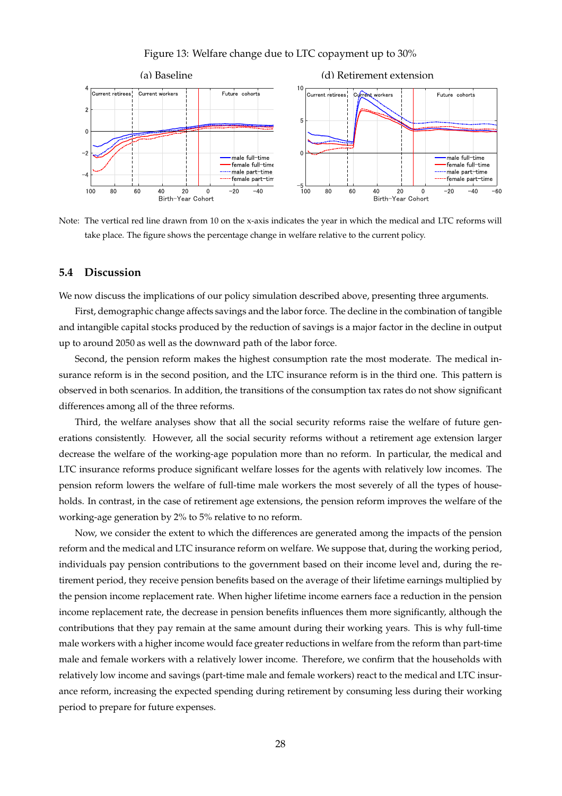<span id="page-27-0"></span>Figure 13: Welfare change due to LTC copayment up to 30%



Note: The vertical red line drawn from 10 on the x-axis indicates the year in which the medical and LTC reforms will take place. The figure shows the percentage change in welfare relative to the current policy.

# **5.4 Discussion**

We now discuss the implications of our policy simulation described above, presenting three arguments.

First, demographic change affects savings and the labor force. The decline in the combination of tangible and intangible capital stocks produced by the reduction of savings is a major factor in the decline in output up to around 2050 as well as the downward path of the labor force.

Second, the pension reform makes the highest consumption rate the most moderate. The medical insurance reform is in the second position, and the LTC insurance reform is in the third one. This pattern is observed in both scenarios. In addition, the transitions of the consumption tax rates do not show significant differences among all of the three reforms.

Third, the welfare analyses show that all the social security reforms raise the welfare of future generations consistently. However, all the social security reforms without a retirement age extension larger decrease the welfare of the working-age population more than no reform. In particular, the medical and LTC insurance reforms produce significant welfare losses for the agents with relatively low incomes. The pension reform lowers the welfare of full-time male workers the most severely of all the types of households. In contrast, in the case of retirement age extensions, the pension reform improves the welfare of the working-age generation by 2% to 5% relative to no reform.

Now, we consider the extent to which the differences are generated among the impacts of the pension reform and the medical and LTC insurance reform on welfare. We suppose that, during the working period, individuals pay pension contributions to the government based on their income level and, during the retirement period, they receive pension benefits based on the average of their lifetime earnings multiplied by the pension income replacement rate. When higher lifetime income earners face a reduction in the pension income replacement rate, the decrease in pension benefits influences them more significantly, although the contributions that they pay remain at the same amount during their working years. This is why full-time male workers with a higher income would face greater reductions in welfare from the reform than part-time male and female workers with a relatively lower income. Therefore, we confirm that the households with relatively low income and savings (part-time male and female workers) react to the medical and LTC insurance reform, increasing the expected spending during retirement by consuming less during their working period to prepare for future expenses.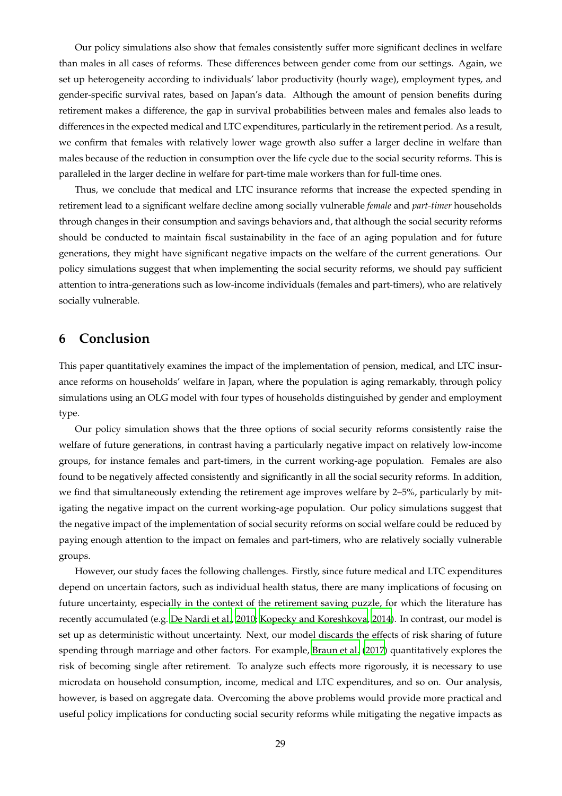Our policy simulations also show that females consistently suffer more significant declines in welfare than males in all cases of reforms. These differences between gender come from our settings. Again, we set up heterogeneity according to individuals' labor productivity (hourly wage), employment types, and gender-specific survival rates, based on Japan's data. Although the amount of pension benefits during retirement makes a difference, the gap in survival probabilities between males and females also leads to differences in the expected medical and LTC expenditures, particularly in the retirement period. As a result, we confirm that females with relatively lower wage growth also suffer a larger decline in welfare than males because of the reduction in consumption over the life cycle due to the social security reforms. This is paralleled in the larger decline in welfare for part-time male workers than for full-time ones.

Thus, we conclude that medical and LTC insurance reforms that increase the expected spending in retirement lead to a significant welfare decline among socially vulnerable *female* and *part-timer* households through changes in their consumption and savings behaviors and, that although the social security reforms should be conducted to maintain fiscal sustainability in the face of an aging population and for future generations, they might have significant negative impacts on the welfare of the current generations. Our policy simulations suggest that when implementing the social security reforms, we should pay sufficient attention to intra-generations such as low-income individuals (females and part-timers), who are relatively socially vulnerable.

# <span id="page-28-0"></span>**6 Conclusion**

This paper quantitatively examines the impact of the implementation of pension, medical, and LTC insurance reforms on households' welfare in Japan, where the population is aging remarkably, through policy simulations using an OLG model with four types of households distinguished by gender and employment type.

Our policy simulation shows that the three options of social security reforms consistently raise the welfare of future generations, in contrast having a particularly negative impact on relatively low-income groups, for instance females and part-timers, in the current working-age population. Females are also found to be negatively affected consistently and significantly in all the social security reforms. In addition, we find that simultaneously extending the retirement age improves welfare by 2–5%, particularly by mitigating the negative impact on the current working-age population. Our policy simulations suggest that the negative impact of the implementation of social security reforms on social welfare could be reduced by paying enough attention to the impact on females and part-timers, who are relatively socially vulnerable groups.

However, our study faces the following challenges. Firstly, since future medical and LTC expenditures depend on uncertain factors, such as individual health status, there are many implications of focusing on future uncertainty, especially in the context of the retirement saving puzzle, for which the literature has recently accumulated (e.g. [De Nardi et al.](#page-29-14), [2010](#page-29-14); [Kopecky and Koreshkova, 2014\)](#page-29-15). In contrast, our model is set up as deterministic without uncertainty. Next, our model discards the effects of risk sharing of future spending through marriage and other factors. For example, [Braun et al. \(2017\)](#page-29-13) quantitatively explores the risk of becoming single after retirement. To analyze such effects more rigorously, it is necessary to use microdata on household consumption, income, medical and LTC expenditures, and so on. Our analysis, however, is based on aggregate data. Overcoming the above problems would provide more practical and useful policy implications for conducting social security reforms while mitigating the negative impacts as